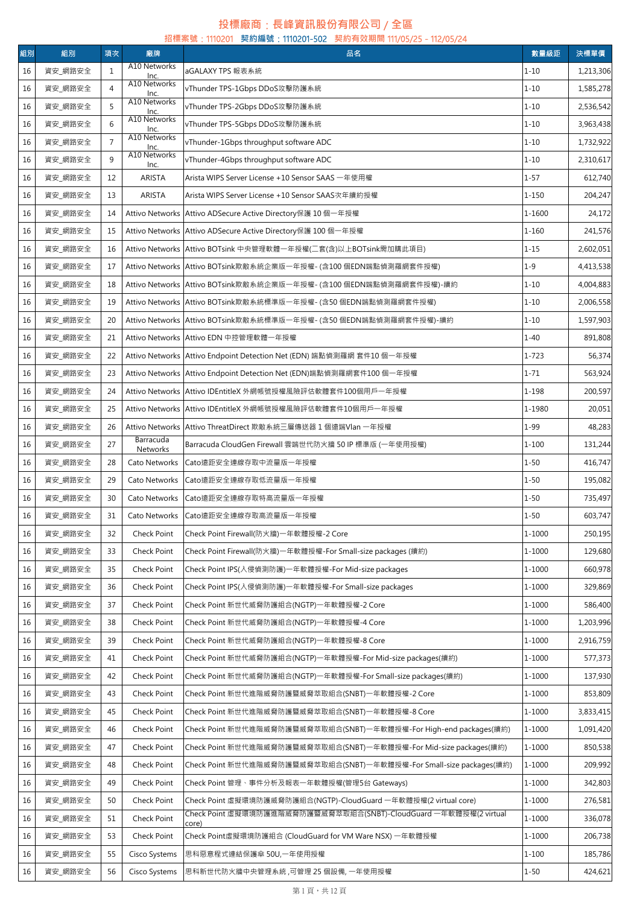## **投標廠商**:**長峰資訊股份有限公司** / **全區 招標案號**:1110201 **契約編號**:1110201-502 **契約有效期間** 111/05/25-112/05/24

| 組別 | 組別      | 項次             | 廠牌                    | 品名                                                                         | 數量級距       | 決標單價      |
|----|---------|----------------|-----------------------|----------------------------------------------------------------------------|------------|-----------|
| 16 | 資安_網路安全 | $\mathbf{1}$   | A10 Networks<br>Inc.  | aGALAXY TPS 報表系統                                                           | $1 - 10$   | 1,213,306 |
| 16 | 資安_網路安全 | $\overline{4}$ | A10 Networks<br>Inc.  | vThunder TPS-1Gbps DDoS攻擊防護系統                                              | $1 - 10$   | 1,585,278 |
| 16 | 資安_網路安全 | 5              | A10 Networks<br>Inc.  | vThunder TPS-2Gbps DDoS攻擊防護系統                                              | $1 - 10$   | 2,536,542 |
| 16 | 資安_網路安全 | 6              | A10 Networks<br>Inc.  | vThunder TPS-5Gbps DDoS攻擊防護系統                                              | $1 - 10$   | 3,963,438 |
| 16 | 資安_網路安全 | $\overline{7}$ | A10 Networks<br>Inc.  | vThunder-1Gbps throughput software ADC                                     | $1 - 10$   | 1,732,922 |
| 16 | 資安_網路安全 | 9              | A10 Networks<br>Inc.  | vThunder-4Gbps throughput software ADC                                     | $1 - 10$   | 2,310,617 |
| 16 | 資安_網路安全 | 12             | ARISTA                | Arista WIPS Server License +10 Sensor SAAS 一年使用權                           | $1 - 57$   | 612,740   |
| 16 | 資安_網路安全 | 13             | ARISTA                | Arista WIPS Server License +10 Sensor SAAS次年續約授權                           | $1 - 150$  | 204,247   |
| 16 | 資安_網路安全 | 14             |                       | Attivo Networks Attivo ADSecure Active Directory保護 10個一年授權                 | 1-1600     | 24,172    |
| 16 | 資安_網路安全 | 15             |                       | Attivo Networks Attivo ADSecure Active Directory保護 100 個一年授權               | $1 - 160$  | 241,576   |
| 16 | 資安_網路安全 | 16             |                       | Attivo Networks   Attivo BOTsink 中央管理軟體一年授權(二套(含)以上BOTsink需加購此項目)          | $1 - 15$   | 2,602,051 |
| 16 | 資安_網路安全 | 17             |                       | Attivo Networks   Attivo BOTsink欺敵系統企業版一年授權- (含100 個EDN端點偵測羅網套件授權)         | $1 - 9$    | 4,413,538 |
| 16 | 資安_網路安全 | 18             |                       | Attivo Networks   Attivo BOTsink欺敵系統企業版一年授權- (含100 個EDN端點偵測羅網套件授權)-續約      | $1 - 10$   | 4,004,883 |
| 16 | 資安_網路安全 | 19             |                       | Attivo Networks Attivo BOTsink欺敵系統標準版一年授權- (含50 個EDN端點偵測羅網套件授權)            | $1 - 10$   | 2,006,558 |
| 16 | 資安 網路安全 | 20             |                       | Attivo Networks   Attivo BOTsink欺敵系統標準版一年授權- (含50 個EDN端點偵測羅網套件授權)-續約       | $1 - 10$   | 1,597,903 |
| 16 | 資安_網路安全 | 21             |                       | Attivo Networks Attivo EDN 中控管理軟體一年授權                                      | $1 - 40$   | 891,808   |
| 16 | 資安_網路安全 | 22             |                       | Attivo Networks   Attivo Endpoint Detection Net (EDN) 端點偵測羅網 套件10 個一年授權    | $1 - 723$  | 56,374    |
| 16 | 資安_網路安全 | 23             |                       | Attivo Networks   Attivo Endpoint Detection Net (EDN)端點偵測羅網套件100 個一年授權     | $1 - 71$   | 563,924   |
| 16 | 資安_網路安全 | 24             |                       | Attivo Networks   Attivo IDEntitleX 外網帳號授權風險評估軟體套件100個用戶一年授權               | $1 - 198$  | 200,597   |
| 16 | 資安_網路安全 | 25             |                       | Attivo Networks Attivo IDEntitleX 外網帳號授權風險評估軟體套件10個用戶一年授權                  | 1-1980     | 20,051    |
| 16 | 資安_網路安全 | 26             |                       | Attivo Networks Attivo ThreatDirect 欺敵系統三層傳送器 1 個遠端Vlan 一年授權               | $1 - 99$   | 48,283    |
| 16 | 資安_網路安全 | 27             | Barracuda<br>Networks | Barracuda CloudGen Firewall 雲端世代防火牆 50 IP 標準版 (一年使用授權)                     | $1 - 100$  | 131,244   |
| 16 | 資安_網路安全 | 28             | Cato Networks         | Cato遠距安全連線存取中流量版一年授權                                                       | $1 - 50$   | 416,747   |
| 16 | 資安_網路安全 | 29             | Cato Networks         | Cato遠距安全連線存取低流量版一年授權                                                       | $1 - 50$   | 195,082   |
| 16 | 資安 網路安全 | 30             | Cato Networks         | Cato遠距安全連線存取特高流量版一年授權                                                      | $1 - 50$   | 735,497   |
| 16 | 資安_網路安全 | 31             | Cato Networks         | Cato遠距安全連線存取高流量版一年授權                                                       | $1 - 50$   | 603,747   |
| 16 | 資安_網路安全 | 32             | Check Point           | Check Point Firewall(防火牆)一年軟體授權-2 Core                                     | 1-1000     | 250,195   |
| 16 | 資安_網路安全 | 33             | Check Point           | Check Point Firewall(防火牆) 一年軟體授權-For Small-size packages (續約)              | $1 - 1000$ | 129,680   |
| 16 | 資安_網路安全 | 35             | Check Point           | Check Point IPS(入侵偵測防護)一年軟體授權-For Mid-size packages                        | $1 - 1000$ | 660,978   |
| 16 | 資安_網路安全 | 36             | Check Point           | Check Point IPS(入侵偵測防護)一年軟體授權-For Small-size packages                      | 1-1000     | 329,869   |
| 16 | 資安_網路安全 | 37             | Check Point           | Check Point 新世代威脅防護組合(NGTP)一年軟體授權-2 Core                                   | 1-1000     | 586,400   |
| 16 | 資安_網路安全 | 38             | Check Point           | Check Point 新世代威脅防護組合(NGTP)一年軟體授權-4 Core                                   | $1 - 1000$ | 1,203,996 |
| 16 | 資安_網路安全 | 39             | Check Point           | Check Point 新世代威脅防護組合(NGTP)一年軟體授權-8 Core                                   | 1-1000     | 2,916,759 |
| 16 | 資安_網路安全 | 41             | Check Point           | Check Point 新世代威脅防護組合(NGTP)一年軟體授權-For Mid-size packages(續約)                | 1-1000     | 577,373   |
| 16 | 資安_網路安全 | 42             | Check Point           | Check Point 新世代威脅防護組合(NGTP)一年軟體授權-For Small-size packages(續約)              | 1-1000     | 137,930   |
| 16 | 資安_網路安全 | 43             | Check Point           | Check Point 新世代進階威脅防護暨威脅萃取組合(SNBT)一年軟體授權-2 Core                            | 1-1000     | 853,809   |
| 16 | 資安_網路安全 | 45             | Check Point           | Check Point 新世代進階威脅防護暨威脅萃取組合(SNBT)一年軟體授權-8 Core                            | 1-1000     | 3,833,415 |
| 16 | 資安_網路安全 | 46             | Check Point           | Check Point 新世代進階威脅防護暨威脅萃取組合(SNBT)一年軟體授權-For High-end packages(續約)         | 1-1000     | 1,091,420 |
| 16 | 資安_網路安全 | 47             | Check Point           | Check Point 新世代進階威脅防護暨威脅萃取組合(SNBT)一年軟體授權-For Mid-size packages(續約)         | 1-1000     | 850,538   |
| 16 | 資安_網路安全 | 48             | Check Point           | Check Point 新世代進階威脅防護暨威脅萃取組合(SNBT)一年軟體授權-For Small-size packages(續約)       | 1-1000     | 209,992   |
| 16 | 資安_網路安全 | 49             | Check Point           | Check Point 管理、事件分析及報表一年軟體授權(管理5台 Gateways)                                | 1-1000     | 342,803   |
| 16 | 資安_網路安全 | 50             | Check Point           | Check Point 虛擬環境防護威脅防護組合(NGTP)-CloudGuard 一年軟體授權(2 virtual core)           | $1 - 1000$ | 276,581   |
| 16 | 資安_網路安全 | 51             | Check Point           | Check Point 虛擬環境防護進階威脅防護暨威脅萃取組合(SNBT)-CloudGuard 一年軟體授權(2 virtual<br>core) | 1-1000     | 336,078   |
| 16 | 資安_網路安全 | 53             | Check Point           | Check Point虚擬環境防護組合 (CloudGuard for VM Ware NSX) 一年軟體授權                    | 1-1000     | 206,738   |
| 16 | 資安_網路安全 | 55             | Cisco Systems         | 思科惡意程式連結保護傘 50U,一年使用授權                                                     | $1 - 100$  | 185,786   |
| 16 | 資安_網路安全 | 56             | Cisco Systems         | 思科新世代防火牆中央管理系統,可管理 25 個設備,一年使用授權                                           | $1 - 50$   | 424,621   |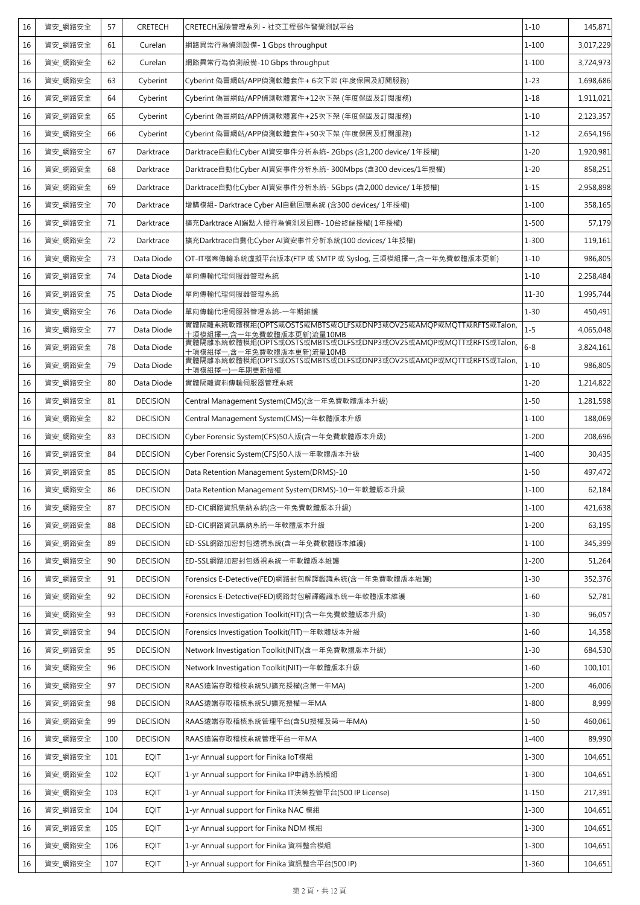| 16 | 資安 網路安全 | 57  | CRETECH         | CRETECH風險管理系列 - 社交工程郵件警覺測試平台                                                                                  | $1 - 10$  | 145,871   |
|----|---------|-----|-----------------|---------------------------------------------------------------------------------------------------------------|-----------|-----------|
| 16 | 資安_網路安全 | 61  | Curelan         | 網路異常行為偵測設備- 1 Gbps throughput                                                                                 | $1 - 100$ | 3,017,229 |
| 16 | 資安_網路安全 | 62  | Curelan         | 網路異常行為偵測設備-10 Gbps throughput                                                                                 | $1 - 100$ | 3,724,973 |
| 16 | 資安_網路安全 | 63  | Cyberint        | Cyberint 偽冒網站/APP偵測軟體套件+ 6次下架 (年度保固及訂閱服務)                                                                     | $1 - 23$  | 1,698,686 |
| 16 | 資安 網路安全 | 64  | Cyberint        | Cyberint 偽冒網站/APP偵測軟體套件+12次下架 (年度保固及訂閱服務)                                                                     | $1 - 18$  | 1,911,021 |
| 16 | 資安_網路安全 | 65  | Cyberint        | Cyberint 偽冒網站/APP偵測軟體套件+25次下架 (年度保固及訂閱服務)                                                                     | $1 - 10$  | 2,123,357 |
| 16 | 資安 網路安全 | 66  | Cyberint        | Cyberint 偽冒網站/APP偵測軟體套件+50次下架 (年度保固及訂閱服務)                                                                     | $1 - 12$  | 2,654,196 |
| 16 | 資安_網路安全 | 67  | Darktrace       | Darktrace自動化Cyber AI資安事件分析系統- 2Gbps (含1,200 device/ 1年授權)                                                     | $1 - 20$  | 1,920,981 |
| 16 | 資安 網路安全 | 68  | Darktrace       | Darktrace自動化Cyber AI資安事件分析系統- 300Mbps (含300 devices/1年授權)                                                     | $1 - 20$  | 858,251   |
| 16 | 資安_網路安全 | 69  | Darktrace       | Darktrace自動化Cyber AI資安事件分析系統- 5Gbps (含2,000 device/ 1年授權)                                                     | $1 - 15$  | 2,958,898 |
| 16 | 資安 網路安全 | 70  | Darktrace       | 增購模組- Darktrace Cyber AI自動回應系統 (含300 devices/ 1年授權)                                                           | $1 - 100$ | 358,165   |
| 16 | 資安_網路安全 | 71  | Darktrace       | 擴充Darktrace AI端點入侵行為偵測及回應- 10台終端授權( 1年授權)                                                                     | $1 - 500$ | 57,179    |
| 16 | 資安_網路安全 | 72  | Darktrace       | 擴充Darktrace自動化Cyber AI資安事件分析系統(100 devices/ 1年授權)                                                             | $1 - 300$ | 119,161   |
| 16 | 資安 網路安全 | 73  | Data Diode      | OT-IT檔案傳輸系統虛擬平台版本(FTP 或 SMTP 或 Syslog, 三項模組擇一,含一年免費軟體版本更新)                                                    | $1 - 10$  | 986.805   |
| 16 | 資安_網路安全 | 74  | Data Diode      | 單向傳輸代理伺服器管理系統                                                                                                 | $1 - 10$  | 2,258,484 |
| 16 | 資安 網路安全 | 75  | Data Diode      | 單向傳輸代理伺服器管理系統                                                                                                 | $11 - 30$ | 1,995,744 |
| 16 | 資安_網路安全 | 76  | Data Diode      | 單向傳輸代理伺服器管理系統-一年期維護                                                                                           | $1 - 30$  | 450,491   |
| 16 | 資安 網路安全 | 77  | Data Diode      | 實體隔離系統軟體模組(OPTS或OSTS或MBTS或OLFS或DNP3或OV25或AMQP或MQTT或RFTS或Talon,                                                | $1 - 5$   | 4,065,048 |
| 16 | 資安 網路安全 | 78  | Data Diode      | 十項模組擇一,含一年免費軟體版本更新)流量10MB<br>實體隔離系統軟體模組(OPTS或OSTS或MBTS或OLFS或DNP3或OV25或AMQP或MQTT或RFTS或Talon,                   | $6 - 8$   | 3,824,161 |
| 16 | 資安 網路安全 | 79  | Data Diode      | 十項模組擇一,含一年免費軟體版本更新)流量10MB<br>實體隔離系統軟體模組(OPTS或OSTS或MBTS或OLFS或DNP3或OV25或AMQP或MQTT或RFTS或Talon,<br>十項模組擇一)一年期更新授權 | $1 - 10$  | 986,805   |
| 16 | 資安_網路安全 | 80  | Data Diode      | 實體隔離資料傳輸伺服器管理系統                                                                                               | $1 - 20$  | 1,214,822 |
| 16 | 資安 網路安全 | 81  | <b>DECISION</b> | Central Management System(CMS)(含一年免費軟體版本升級)                                                                   | $1 - 50$  | 1,281,598 |
| 16 | 資安_網路安全 | 82  | <b>DECISION</b> | Central Management System(CMS)一年軟體版本升級                                                                        | $1 - 100$ | 188,069   |
| 16 | 資安 網路安全 | 83  | <b>DECISION</b> | Cyber Forensic System(CFS)50人版(含一年免費軟體版本升級)                                                                   | $1 - 200$ | 208,696   |
| 16 | 資安_網路安全 | 84  | <b>DECISION</b> | Cyber Forensic System(CFS)50人版一年軟體版本升級                                                                        | $1 - 400$ | 30,435    |
| 16 | 資安 網路安全 | 85  | <b>DECISION</b> | Data Retention Management System(DRMS)-10                                                                     | $1 - 50$  | 497,472   |
| 16 | 資安_網路安全 | 86  | <b>DECISION</b> | Data Retention Management System(DRMS)-10一年軟體版本升級                                                             | $1 - 100$ | 62,184    |
| 16 | 資安_網路安全 | 87  | <b>DECISION</b> | ED-CIC網路資訊集納系統(含一年免費軟體版本升級)                                                                                   | $1 - 100$ | 421,638   |
| 16 | 資安 網路安全 | 88  | <b>DECISION</b> | ED-CIC網路資訊集納系統一年軟體版本升級                                                                                        | $1 - 200$ | 63,195    |
| 16 | 資安 網路安全 | 89  | <b>DECISION</b> | ED-SSL網路加密封包透視系統(含一年免費軟體版本維護)                                                                                 | $1 - 100$ | 345,399   |
| 16 | 資安 網路安全 | 90  | <b>DECISION</b> | ED-SSL網路加密封包透視系統一年軟體版本維護                                                                                      | $1 - 200$ | 51,264    |
| 16 | 資安_網路安全 | 91  | <b>DECISION</b> | Forensics E-Detective(FED)網路封包解譯鑑識系統(含一年免費軟體版本維護)                                                             | $1 - 30$  | 352,376   |
| 16 | 資安 網路安全 | 92  | <b>DECISION</b> | Forensics E-Detective(FED)網路封包解譯鑑識系統一年軟體版本維護                                                                  | $1 - 60$  | 52,781    |
| 16 | 資安 網路安全 | 93  | <b>DECISION</b> | Forensics Investigation Toolkit(FIT)(含一年免費軟體版本升級)                                                             | $1 - 30$  | 96,057    |
| 16 | 資安_網路安全 | 94  | <b>DECISION</b> | Forensics Investigation Toolkit(FIT) 一年軟體版本升級                                                                 | $1 - 60$  | 14,358    |
| 16 | 資安_網路安全 | 95  | <b>DECISION</b> | Network Investigation Toolkit(NIT)(含一年免費軟體版本升級)                                                               | $1 - 30$  | 684,530   |
| 16 | 資安_網路安全 | 96  | <b>DECISION</b> | Network Investigation Toolkit(NIT)一年軟體版本升級                                                                    | $1 - 60$  | 100,101   |
| 16 | 資安_網路安全 | 97  | <b>DECISION</b> | RAAS遠端存取稽核系統5U擴充授權(含第一年MA)                                                                                    | $1 - 200$ | 46,006    |
| 16 | 資安 網路安全 | 98  | <b>DECISION</b> | RAAS遠端存取稽核系統5U擴充授權一年MA                                                                                        | $1 - 800$ | 8,999     |
| 16 | 資安 網路安全 | 99  | <b>DECISION</b> | RAAS遠端存取稽核系統管理平台(含5U授權及第一年MA)                                                                                 | $1 - 50$  | 460,061   |
| 16 | 資安_網路安全 | 100 | <b>DECISION</b> | RAAS遠端存取稽核系統管理平台一年MA                                                                                          | $1 - 400$ | 89,990    |
| 16 | 資安_網路安全 | 101 | <b>EQIT</b>     | 1-yr Annual support for Finika IoT模組                                                                          | $1 - 300$ | 104,651   |
| 16 | 資安_網路安全 | 102 | EQIT            | 1-yr Annual support for Finika IP申請系統模組                                                                       | $1 - 300$ | 104,651   |
| 16 | 資安_網路安全 | 103 | <b>EQIT</b>     | 1-yr Annual support for Finika IT決策控管平台(500 IP License)                                                       | 1-150     | 217,391   |
| 16 | 資安_網路安全 | 104 | <b>EQIT</b>     | 1-yr Annual support for Finika NAC 模組                                                                         | $1 - 300$ | 104,651   |
| 16 | 資安_網路安全 | 105 | <b>EQIT</b>     | 1-yr Annual support for Finika NDM 模組                                                                         | $1 - 300$ | 104,651   |
| 16 | 資安 網路安全 | 106 | <b>EQIT</b>     | 1-yr Annual support for Finika 資料整合模組                                                                         | $1 - 300$ | 104,651   |
| 16 | 資安_網路安全 | 107 | EQIT            | 1-yr Annual support for Finika 資訊整合平台(500 IP)                                                                 | 1-360     | 104,651   |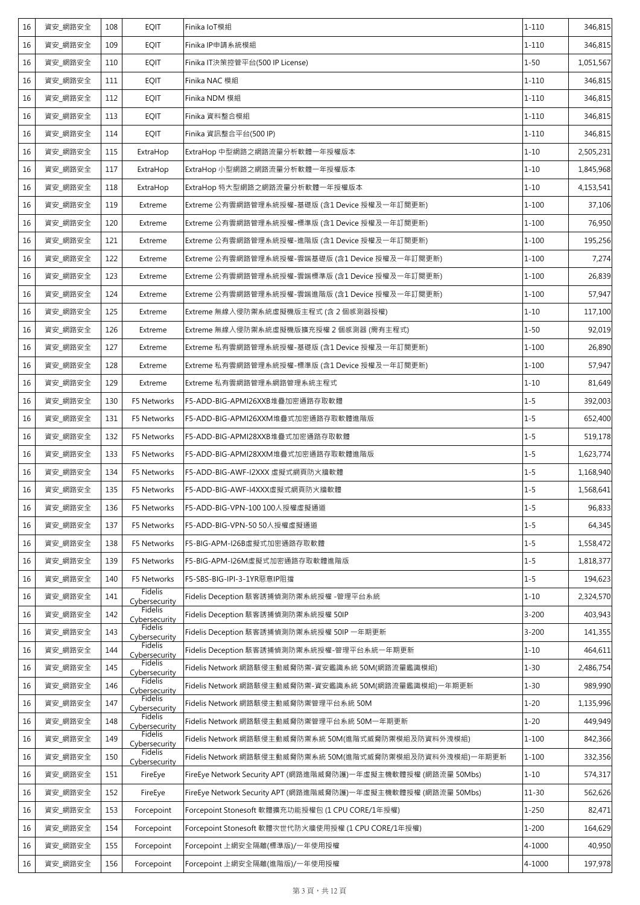| 16 | 資安_網路安全 | 108 | <b>EQIT</b>                     | Finika IoT模組                                                   | $1 - 110$ | 346,815   |
|----|---------|-----|---------------------------------|----------------------------------------------------------------|-----------|-----------|
| 16 | 資安_網路安全 | 109 | <b>EQIT</b>                     | Finika IP申請系統模組                                                | $1 - 110$ | 346,815   |
| 16 | 資安_網路安全 | 110 | <b>EQIT</b>                     | Finika IT決策控管平台(500 IP License)                                | $1 - 50$  | 1,051,567 |
| 16 | 資安_網路安全 | 111 | <b>EQIT</b>                     | Finika NAC 模組                                                  | $1 - 110$ | 346,815   |
| 16 | 資安 網路安全 | 112 | <b>EQIT</b>                     | Finika NDM 模組                                                  | $1 - 110$ | 346,815   |
| 16 | 資安 網路安全 | 113 | <b>EQIT</b>                     | Finika 資料整合模組                                                  | $1 - 110$ | 346,815   |
| 16 | 資安_網路安全 | 114 | <b>EQIT</b>                     | Finika 資訊整合平台(500 IP)                                          | $1 - 110$ | 346,815   |
| 16 | 資安_網路安全 | 115 | ExtraHop                        | ExtraHop 中型網路之網路流量分析軟體一年授權版本                                   | $1 - 10$  | 2,505,231 |
| 16 | 資安_網路安全 | 117 | ExtraHop                        | ExtraHop 小型網路之網路流量分析軟體一年授權版本                                   | $1 - 10$  | 1,845,968 |
| 16 | 資安_網路安全 | 118 | ExtraHop                        | ExtraHop 特大型網路之網路流量分析軟體一年授權版本                                  | $1 - 10$  | 4,153,541 |
| 16 | 資安_網路安全 | 119 | Extreme                         | Extreme 公有雲網路管理系統授權-基礎版 (含1 Device 授權及一年訂閱更新)                  | $1 - 100$ | 37,106    |
| 16 | 資安_網路安全 | 120 | Extreme                         | Extreme 公有雲網路管理系統授權-標準版 (含1 Device 授權及一年訂閱更新)                  | $1 - 100$ | 76,950    |
| 16 | 資安_網路安全 | 121 | Extreme                         | Extreme 公有雲網路管理系統授權-進階版 (含1 Device 授權及一年訂閱更新)                  | $1 - 100$ | 195,256   |
| 16 | 資安_網路安全 | 122 | Extreme                         | Extreme 公有雲網路管理系統授權-雲端基礎版 (含1 Device 授權及一年訂閱更新)                | $1 - 100$ | 7,274     |
| 16 | 資安_網路安全 | 123 | Extreme                         | Extreme 公有雲網路管理系統授權-雲端標準版 (含1 Device 授權及一年訂閱更新)                | $1 - 100$ | 26,839    |
| 16 | 資安_網路安全 | 124 | Extreme                         | Extreme 公有雲網路管理系統授權-雲端進階版 (含1 Device 授權及一年訂閱更新)                | $1 - 100$ | 57,947    |
| 16 | 資安 網路安全 | 125 | Extreme                         | Extreme 無線入侵防禦系統虛擬機版主程式 (含 2 個感測器授權)                           | $1 - 10$  | 117,100   |
| 16 | 資安_網路安全 | 126 | Extreme                         | Extreme 無線入侵防禦系統虛擬機版擴充授權 2 個感測器 (需有主程式)                        | $1 - 50$  | 92,019    |
| 16 | 資安_網路安全 | 127 | Extreme                         | Extreme 私有雲網路管理系統授權-基礎版 (含1 Device 授權及一年訂閱更新)                  | $1 - 100$ | 26,890    |
| 16 | 資安_網路安全 | 128 | Extreme                         | Extreme 私有雲網路管理系統授權-標準版 (含1 Device 授權及一年訂閱更新)                  | $1 - 100$ | 57,947    |
| 16 | 資安_網路安全 | 129 | Extreme                         | Extreme 私有雲網路管理系網路管理系統主程式                                      | $1 - 10$  | 81,649    |
| 16 | 資安_網路安全 | 130 | F5 Networks                     | F5-ADD-BIG-APMI26XXB堆疊加密通路存取軟體                                 | $1 - 5$   | 392,003   |
| 16 | 資安_網路安全 | 131 | F5 Networks                     | F5-ADD-BIG-APMI26XXM堆疊式加密通路存取軟體進階版                             | $1 - 5$   | 652,400   |
| 16 | 資安_網路安全 | 132 | F5 Networks                     | F5-ADD-BIG-APMI28XXB堆疊式加密通路存取軟體                                | $1 - 5$   | 519,178   |
| 16 | 資安_網路安全 | 133 | F5 Networks                     | F5-ADD-BIG-APMI28XXM堆疊式加密通路存取軟體進階版                             | $1 - 5$   | 1,623,774 |
| 16 | 資安_網路安全 | 134 | F5 Networks                     | F5-ADD-BIG-AWF-I2XXX 虛擬式網頁防火牆軟體                                | $1 - 5$   | 1,168,940 |
| 16 | 資安_網路安全 | 135 | F5 Networks                     | F5-ADD-BIG-AWF-I4XXX虚擬式網頁防火牆軟體                                 | $1 - 5$   | 1,568,641 |
| 16 | 資安_網路安全 | 136 | F5 Networks                     | F5-ADD-BIG-VPN-100 100人授權虛擬通道                                  | $1 - 5$   | 96,833    |
| 16 | 資安 網路安全 | 137 | F5 Networks                     | F5-ADD-BIG-VPN-50 50人授權虛擬通道                                    | $1 - 5$   | 64,345    |
| 16 | 資安_網路安全 | 138 | F5 Networks                     | F5-BIG-APM-I26B虚擬式加密通路存取軟體                                     | $1 - 5$   | 1,558,472 |
| 16 | 資安 網路安全 | 139 | F5 Networks                     | F5-BIG-APM-I26M虛擬式加密通路存取軟體進階版                                  | $1 - 5$   | 1,818,377 |
| 16 | 資安 網路安全 | 140 | F5 Networks                     | F5-SBS-BIG-IPI-3-1YR惡意IP阻擋                                     | $1 - 5$   | 194,623   |
| 16 | 資安_網路安全 | 141 | Fidelis<br>Cybersecurity        | Fidelis Deception 駭客誘捕偵測防禦系統授權 -管理平台系統                         | $1 - 10$  | 2,324,570 |
| 16 | 資安_網路安全 | 142 | Fidelis<br>Cybersecurity        | Fidelis Deception 駭客誘捕偵測防禦系統授權 50IP                            | $3 - 200$ | 403,943   |
| 16 | 資安 網路安全 | 143 | <b>Fidelis</b><br>Cybersecurity | Fidelis Deception 駭客誘捕偵測防禦系統授權 50IP 一年期更新                      | $3 - 200$ | 141,355   |
| 16 | 資安_網路安全 | 144 | Fidelis<br>Cybersecurity        | Fidelis Deception 駭客誘捕偵測防禦系統授權-管理平台系統一年期更新                     | $1 - 10$  | 464,611   |
| 16 | 資安_網路安全 | 145 | <b>Fidelis</b><br>Cybersecurity | Fidelis Network 網路駭侵主動威脅防禦-資安鑑識系統 50M(網路流量鑑識模組)                | $1 - 30$  | 2,486,754 |
| 16 | 資安_網路安全 | 146 | Fidelis<br>Cybersecurity        | Fidelis Network 網路駭侵主動威脅防禦-資安鑑識系統 50M(網路流量鑑識模組)一年期更新           | $1 - 30$  | 989,990   |
| 16 | 資安_網路安全 | 147 | <b>Fidelis</b><br>Cybersecurity | Fidelis Network 網路駭侵主動威脅防禦管理平台系統 50M                           | $1 - 20$  | 1,135,996 |
| 16 | 資安_網路安全 | 148 | <b>Fidelis</b><br>Cybersecurity | Fidelis Network 網路駭侵主動威脅防禦管理平台系統 50M一年期更新                      | $1 - 20$  | 449,949   |
| 16 | 資安_網路安全 | 149 | Fidelis<br>Cybersecurity        | Fidelis Network 網路駭侵主動威脅防禦系統 50M(進階式威脅防禦模組及防資料外洩模組)            | 1-100     | 842,366   |
| 16 | 資安_網路安全 | 150 | Fidelis<br>Cybersecurity        | Fidelis Network 網路駭侵主動威脅防禦系統 50M(進階式威脅防禦模組及防資料外洩模組)一年期更新       | $1 - 100$ | 332,356   |
| 16 | 資安_網路安全 | 151 | FireEye                         | FireEye Network Security APT (網路進階威脅防護)一年虛擬主機軟體授權 (網路流量 50Mbs) | $1 - 10$  | 574,317   |
| 16 | 資安_網路安全 | 152 | FireEye                         | FireEye Network Security APT (網路進階威脅防護)一年虛擬主機軟體授權 (網路流量 50Mbs) | $11 - 30$ | 562,626   |
| 16 | 資安_網路安全 | 153 | Forcepoint                      | Forcepoint Stonesoft 軟體擴充功能授權包 (1 CPU CORE/1年授權)               | $1 - 250$ | 82,471    |
| 16 | 資安_網路安全 | 154 | Forcepoint                      | Forcepoint Stonesoft 軟體次世代防火牆使用授權 (1 CPU CORE/1年授權)            | $1 - 200$ | 164,629   |
| 16 | 資安_網路安全 | 155 | Forcepoint                      | Forcepoint 上網安全隔離(標準版)/一年使用授權                                  | 4-1000    | 40,950    |
| 16 | 資安 網路安全 | 156 | Forcepoint                      | Forcepoint 上網安全隔離(進階版)/一年使用授權                                  | 4-1000    | 197,978   |
|    |         |     |                                 |                                                                |           |           |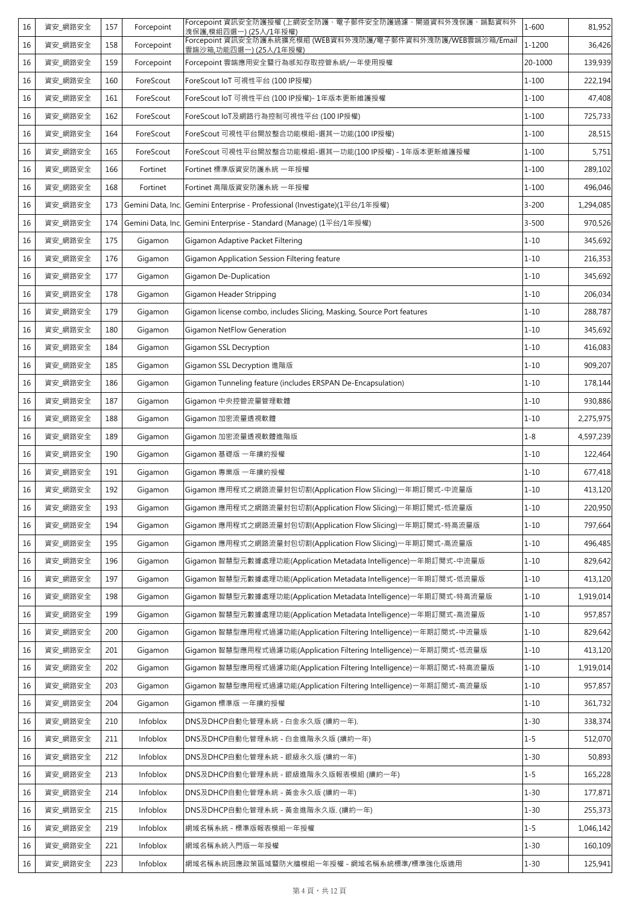| 16 | 資安_網路安全 | 157 | Forcepoint        | Forcepoint 資訊安全防護授權 (上網安全防護、電子郵件安全防護過濾、閘道資料外洩保護、端點資料外<br>洩保護,模組四選一) (25人/1年授權)        | $1 - 600$ | 81,952    |
|----|---------|-----|-------------------|---------------------------------------------------------------------------------------|-----------|-----------|
| 16 | 資安_網路安全 | 158 | Forcepoint        | Forcepoint 資訊安全防護系統擴充模組 (WEB資料外洩防護/電子郵件資料外洩防護/WEB雲端沙箱/Email<br>雲端沙箱,功能四選一) (25人/1年授權) | 1-1200    | 36,426    |
| 16 | 資安_網路安全 | 159 | Forcepoint        | Forcepoint 雲端應用安全暨行為感知存取控管系統/一年使用授權                                                   | 20-1000   | 139,939   |
| 16 | 資安 網路安全 | 160 | ForeScout         | ForeScout IoT 可視性平台 (100 IP授權)                                                        | $1 - 100$ | 222,194   |
| 16 | 資安_網路安全 | 161 | ForeScout         | ForeScout IoT 可視性平台 (100 IP授權)- 1年版本更新維護授權                                            | $1 - 100$ | 47,408    |
| 16 | 資安_網路安全 | 162 | ForeScout         | ForeScout IoT及網路行為控制可視性平台 (100 IP授權)                                                  | $1 - 100$ | 725,733   |
| 16 | 資安_網路安全 | 164 | ForeScout         | ForeScout 可視性平台開放整合功能模組-選其一功能(100 IP授權)                                               | $1 - 100$ | 28,515    |
| 16 | 資安_網路安全 | 165 | ForeScout         | ForeScout 可視性平台開放整合功能模組-選其一功能(100 IP授權) - 1年版本更新維護授權                                  | $1 - 100$ | 5,751     |
| 16 | 資安_網路安全 | 166 | Fortinet          | Fortinet 標準版資安防護系統 一年授權                                                               | $1 - 100$ | 289,102   |
| 16 | 資安_網路安全 | 168 | Fortinet          | Fortinet 高階版資安防護系統 一年授權                                                               | $1 - 100$ | 496,046   |
| 16 | 資安_網路安全 | 173 | Gemini Data, Inc. | Gemini Enterprise - Professional (Investigate)(1平台/1年授權)                              | $3 - 200$ | 1,294,085 |
| 16 | 資安 網路安全 | 174 | Gemini Data, Inc. | Gemini Enterprise - Standard (Manage) (1平台/1年授權)                                      | $3 - 500$ | 970,526   |
| 16 | 資安_網路安全 | 175 | Gigamon           | Gigamon Adaptive Packet Filtering                                                     | $1 - 10$  | 345,692   |
| 16 | 資安_網路安全 | 176 | Gigamon           | Gigamon Application Session Filtering feature                                         | $1 - 10$  | 216,353   |
| 16 | 資安_網路安全 | 177 | Gigamon           | Gigamon De-Duplication                                                                | $1 - 10$  | 345,692   |
| 16 | 資安 網路安全 | 178 | Gigamon           | Gigamon Header Stripping                                                              | $1 - 10$  | 206,034   |
| 16 | 資安_網路安全 | 179 | Gigamon           | Gigamon license combo, includes Slicing, Masking, Source Port features                | $1 - 10$  | 288,787   |
| 16 | 資安_網路安全 | 180 | Gigamon           | <b>Gigamon NetFlow Generation</b>                                                     | $1 - 10$  | 345,692   |
| 16 | 資安_網路安全 | 184 | Gigamon           | Gigamon SSL Decryption                                                                | $1 - 10$  | 416,083   |
| 16 | 資安_網路安全 | 185 | Gigamon           | Gigamon SSL Decryption 進階版                                                            | $1 - 10$  | 909,207   |
| 16 | 資安_網路安全 | 186 | Gigamon           | Gigamon Tunneling feature (includes ERSPAN De-Encapsulation)                          | $1 - 10$  | 178,144   |
| 16 | 資安_網路安全 | 187 | Gigamon           | Gigamon 中央控管流量管理軟體                                                                    | $1 - 10$  | 930,886   |
| 16 | 資安_網路安全 | 188 | Gigamon           | Gigamon 加密流量透視軟體                                                                      | $1 - 10$  | 2,275,975 |
| 16 | 資安_網路安全 | 189 | Gigamon           | Gigamon 加密流量透視軟體進階版                                                                   | $1 - 8$   | 4,597,239 |
| 16 | 資安 網路安全 | 190 | Gigamon           | Gigamon 基礎版 一年續約授權                                                                    | $1 - 10$  | 122,464   |
| 16 | 資安_網路安全 | 191 | Gigamon           | Gigamon 專業版 一年續約授權                                                                    | $1 - 10$  | 677,418   |
| 16 | 資安 網路安全 | 192 | Gigamon           | Gigamon 應用程式之網路流量封包切割(Application Flow Slicing)一年期訂閱式-中流量版                            | $1 - 10$  | 413,120   |
| 16 | 資安_網路安全 | 193 | Gigamon           | Gigamon 應用程式之網路流量封包切割(Application Flow Slicing)一年期訂閱式-低流量版                            | $1 - 10$  | 220,950   |
| 16 | 資安_網路安全 | 194 | Gigamon           | Gigamon 應用程式之網路流量封包切割(Application Flow Slicing)一年期訂閱式-特高流量版                           | $1 - 10$  | 797,664   |
| 16 | 資安_網路安全 | 195 | Gigamon           | Gigamon 應用程式之網路流量封包切割(Application Flow Slicing)一年期訂閱式-高流量版                            | $1 - 10$  | 496,485   |
| 16 | 資安_網路安全 | 196 | Gigamon           | Gigamon 智慧型元數據處理功能(Application Metadata Intelligence)一年期訂閱式-中流量版                      | $1 - 10$  | 829,642   |
| 16 | 資安_網路安全 | 197 | Gigamon           | Gigamon 智慧型元數據處理功能(Application Metadata Intelligence)一年期訂閱式-低流量版                      | $1 - 10$  | 413,120   |
| 16 | 資安_網路安全 | 198 | Gigamon           | Gigamon 智慧型元數據處理功能(Application Metadata Intelligence)一年期訂閱式-特高流量版                     | $1 - 10$  | 1,919,014 |
| 16 | 資安_網路安全 | 199 | Gigamon           | Gigamon 智慧型元數據處理功能(Application Metadata Intelligence)一年期訂閱式-高流量版                      | $1 - 10$  | 957,857   |
| 16 | 資安_網路安全 | 200 | Gigamon           | Gigamon 智慧型應用程式過濾功能(Application Filtering Intelligence)一年期訂閱式-中流量版                    | $1 - 10$  | 829,642   |
| 16 | 資安_網路安全 | 201 | Gigamon           | Gigamon 智慧型應用程式過濾功能(Application Filtering Intelligence)一年期訂閱式-低流量版                    | $1 - 10$  | 413,120   |
| 16 | 資安_網路安全 | 202 | Gigamon           | Gigamon 智慧型應用程式過濾功能(Application Filtering Intelligence)一年期訂閱式-特高流量版                   | $1 - 10$  | 1,919,014 |
| 16 | 資安_網路安全 | 203 | Gigamon           | Gigamon 智慧型應用程式過濾功能(Application Filtering Intelligence)一年期訂閱式-高流量版                    | $1 - 10$  | 957,857   |
| 16 | 資安_網路安全 | 204 | Gigamon           | Gigamon 標準版 一年續約授權                                                                    | $1 - 10$  | 361,732   |
| 16 | 資安_網路安全 | 210 | Infoblox          | DNS及DHCP自動化管理系統 - 白金永久版 (續約一年).                                                       | $1 - 30$  | 338,374   |
| 16 | 資安_網路安全 | 211 | Infoblox          | DNS及DHCP自動化管理系統 - 白金進階永久版 (續約一年)                                                      | $1 - 5$   | 512,070   |
| 16 | 資安_網路安全 | 212 | Infoblox          | DNS及DHCP自動化管理系統 - 銀級永久版 (續約一年)                                                        | $1 - 30$  | 50,893    |
| 16 | 資安_網路安全 | 213 | Infoblox          | DNS及DHCP自動化管理系統 - 銀級進階永久版報表模組 (續約一年)                                                  | $1 - 5$   | 165,228   |
| 16 | 資安_網路安全 | 214 | Infoblox          | DNS及DHCP自動化管理系統 - 黃金永久版 (續約一年)                                                        | $1 - 30$  | 177,871   |
| 16 | 資安_網路安全 | 215 | Infoblox          | DNS及DHCP自動化管理系統 - 黃金進階永久版. (續約一年)                                                     | $1 - 30$  | 255,373   |
| 16 | 資安_網路安全 | 219 | Infoblox          | 網域名稱系統 - 標準版報表模組一年授權                                                                  | $1 - 5$   | 1,046,142 |
| 16 | 資安_網路安全 | 221 | Infoblox          | 網域名稱系統入門版一年授權                                                                         | $1 - 30$  | 160,109   |
| 16 | 資安_網路安全 | 223 | Infoblox          | 網域名稱系統回應政策區域暨防火牆模組一年授權 - 網域名稱系統標準/標準強化版適用                                             | $1 - 30$  | 125,941   |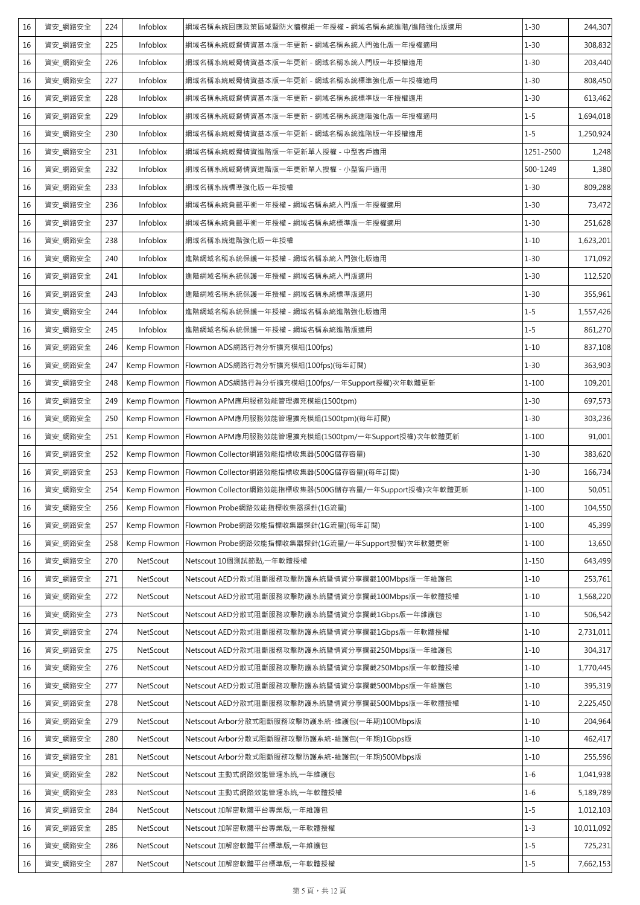| 16 | 資安_網路安全 | 224 | Infoblox     | 網域名稱系統回應政策區域暨防火牆模組一年授權 - 網域名稱系統進階/進階強化版適用              | $1 - 30$  | 244,307    |
|----|---------|-----|--------------|--------------------------------------------------------|-----------|------------|
| 16 | 資安_網路安全 | 225 | Infoblox     | 網域名稱系統威脅情資基本版一年更新 - 網域名稱系統入門強化版一年授權適用                  | $1 - 30$  | 308,832    |
| 16 | 資安_網路安全 | 226 | Infoblox     | 網域名稱系統威脅情資基本版一年更新 - 網域名稱系統入門版一年授權適用                    | $1 - 30$  | 203,440    |
| 16 | 資安_網路安全 | 227 | Infoblox     | 網域名稱系統威脅情資基本版一年更新 - 網域名稱系統標準強化版一年授權適用                  | $1 - 30$  | 808,450    |
| 16 | 資安_網路安全 | 228 | Infoblox     | 網域名稱系統威脅情資基本版一年更新 - 網域名稱系統標準版一年授權適用                    | $1 - 30$  | 613,462    |
| 16 | 資安_網路安全 | 229 | Infoblox     | 網域名稱系統威脅情資基本版一年更新 - 網域名稱系統進階強化版一年授權適用                  | $1 - 5$   | 1,694,018  |
| 16 | 資安_網路安全 | 230 | Infoblox     | 網域名稱系統威脅情資基本版一年更新 - 網域名稱系統進階版一年授權適用                    | $1 - 5$   | 1,250,924  |
| 16 | 資安_網路安全 | 231 | Infoblox     | 網域名稱系統威脅情資進階版一年更新單人授權 - 中型客戶適用                         | 1251-2500 | 1,248      |
| 16 | 資安_網路安全 | 232 | Infoblox     | 網域名稱系統威脅情資進階版一年更新單人授權 - 小型客戶適用                         | 500-1249  | 1,380      |
| 16 | 資安_網路安全 | 233 | Infoblox     | 網域名稱系統標準強化版一年授權                                        | $1 - 30$  | 809,288    |
| 16 | 資安_網路安全 | 236 | Infoblox     | 網域名稱系統負載平衡一年授權 - 網域名稱系統入門版一年授權適用                       | $1 - 30$  | 73,472     |
| 16 | 資安_網路安全 | 237 | Infoblox     | 網域名稱系統負載平衡一年授權 - 網域名稱系統標準版一年授權適用                       | $1 - 30$  | 251,628    |
| 16 | 資安_網路安全 | 238 | Infoblox     | 網域名稱系統進階強化版一年授權                                        | $1 - 10$  | 1,623,201  |
| 16 | 資安_網路安全 | 240 | Infoblox     | 進階網域名稱系統保護一年授權 - 網域名稱系統入門強化版適用                         | $1 - 30$  | 171,092    |
| 16 | 資安_網路安全 | 241 | Infoblox     | 進階網域名稱系統保護一年授權 - 網域名稱系統入門版適用                           | $1 - 30$  | 112,520    |
| 16 | 資安_網路安全 | 243 | Infoblox     | 進階網域名稱系統保護一年授權 - 網域名稱系統標準版適用                           | $1 - 30$  | 355,961    |
| 16 | 資安_網路安全 | 244 | Infoblox     | 進階網域名稱系統保護一年授權 - 網域名稱系統進階強化版適用                         | $1 - 5$   | 1,557,426  |
| 16 | 資安_網路安全 | 245 | Infoblox     | 進階網域名稱系統保護一年授權 - 網域名稱系統進階版適用                           | $1 - 5$   | 861,270    |
| 16 | 資安_網路安全 | 246 | Kemp Flowmon | Flowmon ADS網路行為分析擴充模組(100fps)                          | $1 - 10$  | 837,108    |
| 16 | 資安_網路安全 | 247 | Kemp Flowmon | Flowmon ADS網路行為分析擴充模組(100fps)(每年訂閱)                    | $1 - 30$  | 363,903    |
| 16 | 資安_網路安全 | 248 | Kemp Flowmon | Flowmon ADS網路行為分析擴充模組(100fps/一年Support授權)次年軟體更新        | $1 - 100$ | 109,201    |
| 16 | 資安_網路安全 | 249 | Kemp Flowmon | Flowmon APM應用服務效能管理擴充模組(1500tpm)                       | $1 - 30$  | 697,573    |
| 16 | 資安_網路安全 | 250 | Kemp Flowmon | Flowmon APM應用服務效能管理擴充模組(1500tpm)(每年訂閱)                 | $1 - 30$  | 303,236    |
| 16 | 資安_網路安全 | 251 | Kemp Flowmon | Flowmon APM應用服務效能管理擴充模組(1500tpm/一年Support授權)次年軟體更新     | $1 - 100$ | 91,001     |
| 16 | 資安_網路安全 | 252 | Kemp Flowmon | Flowmon Collector網路效能指標收集器(500G儲存容量)                   | $1 - 30$  | 383,620    |
| 16 | 資安 網路安全 | 253 | Kemp Flowmon | Flowmon Collector網路效能指標收集器(500G儲存容量)(每年訂閱)             | $1 - 30$  | 166,734    |
| 16 | 資安_網路安全 | 254 | Kemp Flowmon | Flowmon Collector網路效能指標收集器(500G儲存容量/一年Support授權)次年軟體更新 | $1 - 100$ | 50,051     |
| 16 | 資安_網路安全 | 256 | Kemp Flowmon | Flowmon Probe網路效能指標收集器探針(1G流量)                         | $1 - 100$ | 104,550    |
| 16 | 資安_網路安全 | 257 | Kemp Flowmon | Flowmon Probe網路效能指標收集器探針(1G流量)(每年訂閱)                   | $1 - 100$ | 45,399     |
| 16 | 資安_網路安全 | 258 | Kemp Flowmon | Flowmon Probe網路效能指標收集器探針(1G流量/一年Support授權)次年軟體更新       | $1 - 100$ | 13,650     |
| 16 | 資安_網路安全 | 270 | NetScout     | Netscout 10個測試節點,一年軟體授權                                | $1 - 150$ | 643,499    |
| 16 | 資安_網路安全 | 271 | NetScout     | Netscout AED分散式阻斷服務攻擊防護系統暨情資分享攔截100Mbps版一年維護包          | $1 - 10$  | 253,761    |
| 16 | 資安_網路安全 | 272 | NetScout     | Netscout AED分散式阻斷服務攻擊防護系統暨情資分享攔截100Mbps版一年軟體授權         | $1 - 10$  | 1,568,220  |
| 16 | 資安_網路安全 | 273 | NetScout     | Netscout AED分散式阻斷服務攻擊防護系統暨情資分享攔截1Gbps版一年維護包            | $1 - 10$  | 506,542    |
| 16 | 資安_網路安全 | 274 | NetScout     | Netscout AED分散式阻斷服務攻擊防護系統暨情資分享攔截1Gbps版一年軟體授權           | $1 - 10$  | 2,731,011  |
| 16 | 資安_網路安全 | 275 | NetScout     | Netscout AED分散式阻斷服務攻擊防護系統暨情資分享攔截250Mbps版一年維護包          | $1 - 10$  | 304,317    |
| 16 | 資安_網路安全 | 276 | NetScout     | Netscout AED分散式阻斷服務攻擊防護系統暨情資分享攔截250Mbps版一年軟體授權         | $1 - 10$  | 1,770,445  |
| 16 | 資安_網路安全 | 277 | NetScout     | Netscout AED分散式阻斷服務攻擊防護系統暨情資分享攔截500Mbps版一年維護包          | $1 - 10$  | 395,319    |
| 16 | 資安 網路安全 | 278 | NetScout     | Netscout AED分散式阻斷服務攻擊防護系統暨情資分享攔截500Mbps版一年軟體授權         | $1 - 10$  | 2,225,450  |
| 16 | 資安 網路安全 | 279 | NetScout     | Netscout Arbor分散式阻斷服務攻擊防護系統-維護包(一年期)100Mbps版           | $1 - 10$  | 204,964    |
| 16 | 資安_網路安全 | 280 | NetScout     | Netscout Arbor分散式阻斷服務攻擊防護系統-維護包(一年期)1Gbps版             | $1 - 10$  | 462,417    |
| 16 | 資安 網路安全 | 281 | NetScout     | Netscout Arbor分散式阻斷服務攻擊防護系統-維護包(一年期)500Mbps版           | $1 - 10$  | 255,596    |
| 16 | 資安_網路安全 | 282 | NetScout     | Netscout 主動式網路效能管理系統,一年維護包                             | $1 - 6$   | 1,041,938  |
| 16 | 資安 網路安全 | 283 | NetScout     | Netscout 主動式網路效能管理系統,一年軟體授權                            | $1 - 6$   | 5,189,789  |
| 16 | 資安_網路安全 | 284 | NetScout     | Netscout 加解密軟體平台專業版,一年維護包                              | $1 - 5$   | 1,012,103  |
| 16 | 資安_網路安全 | 285 | NetScout     | Netscout 加解密軟體平台專業版,一年軟體授權                             | $1 - 3$   | 10,011,092 |
| 16 | 資安_網路安全 | 286 | NetScout     | Netscout 加解密軟體平台標準版,一年維護包                              | $1 - 5$   | 725,231    |
| 16 | 資安_網路安全 | 287 | NetScout     | Netscout 加解密軟體平台標準版,一年軟體授權                             | $1 - 5$   | 7,662,153  |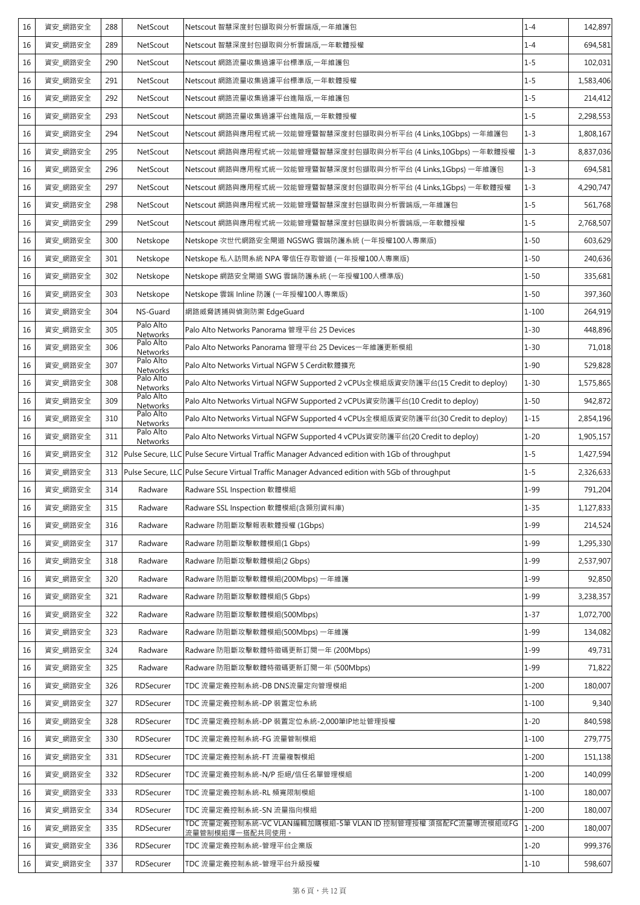| 16 | 資安_網路安全 | 288 | NetScout              | Netscout 智慧深度封包擷取與分析雲端版,一年維護包                                                                      | $1 - 4$   | 142,897   |
|----|---------|-----|-----------------------|----------------------------------------------------------------------------------------------------|-----------|-----------|
| 16 | 資安 網路安全 | 289 | NetScout              | Netscout 智慧深度封包擷取與分析雲端版,一年軟體授權                                                                     | $1 - 4$   | 694,581   |
| 16 | 資安_網路安全 | 290 | NetScout              | Netscout 網路流量收集過濾平台標準版,一年維護包                                                                       | $1 - 5$   | 102,031   |
| 16 | 資安 網路安全 | 291 | NetScout              | Netscout 網路流量收集過濾平台標準版,一年軟體授權                                                                      | $1 - 5$   | 1,583,406 |
| 16 | 資安_網路安全 | 292 | NetScout              | Netscout 網路流量收集過濾平台進階版,一年維護包                                                                       | $1 - 5$   | 214,412   |
| 16 | 資安_網路安全 | 293 | NetScout              | Netscout 網路流量收集過濾平台進階版,一年軟體授權                                                                      | $1 - 5$   | 2,298,553 |
| 16 | 資安_網路安全 | 294 | NetScout              | Netscout 網路與應用程式統一效能管理暨智慧深度封包擷取與分析平台 (4 Links,10Gbps) 一年維護包                                        | $1 - 3$   | 1,808,167 |
| 16 | 資安_網路安全 | 295 | NetScout              | Netscout 網路與應用程式統一效能管理暨智慧深度封包擷取與分析平台 (4 Links,10Gbps) 一年軟體授權                                       | $1 - 3$   | 8,837,036 |
| 16 | 資安_網路安全 | 296 | NetScout              | Netscout 網路與應用程式統一效能管理暨智慧深度封包擷取與分析平台(4 Links,1Gbps) 一年維護包                                          | $1 - 3$   | 694,581   |
| 16 | 資安_網路安全 | 297 | NetScout              | Netscout 網路與應用程式統一效能管理暨智慧深度封包擷取與分析平台 (4 Links,1Gbps) 一年軟體授權                                        | $1 - 3$   | 4,290,747 |
| 16 | 資安_網路安全 | 298 | NetScout              | Netscout 網路與應用程式統一效能管理暨智慧深度封包擷取與分析雲端版,一年維護包                                                        | $1 - 5$   | 561,768   |
| 16 | 資安_網路安全 | 299 | NetScout              | Netscout 網路與應用程式統一效能管理暨智慧深度封包擷取與分析雲端版,一年軟體授權                                                       | $1 - 5$   | 2,768,507 |
| 16 | 資安_網路安全 | 300 | Netskope              | Netskope 次世代網路安全閘道 NGSWG 雲端防護系統 (一年授權100人專業版)                                                      | $1 - 50$  | 603,629   |
| 16 | 資安_網路安全 | 301 | Netskope              | Netskope 私人訪問系統 NPA 零信任存取管道 (一年授權100人專業版)                                                          | $1 - 50$  | 240,636   |
| 16 | 資安_網路安全 | 302 | Netskope              | Netskope 網路安全閘道 SWG 雲端防護系統 (一年授權100人標準版)                                                           | $1 - 50$  | 335,681   |
| 16 | 資安 網路安全 | 303 | Netskope              | Netskope 雲端 Inline 防護 (一年授權100人專業版)                                                                | $1 - 50$  | 397,360   |
| 16 | 資安_網路安全 | 304 | NS-Guard              | 網路威脅誘捕與偵測防禦 EdgeGuard                                                                              | $1 - 100$ | 264,919   |
| 16 | 資安_網路安全 | 305 | Palo Alto<br>Networks | Palo Alto Networks Panorama 管理平台 25 Devices                                                        | $1 - 30$  | 448,896   |
| 16 | 資安_網路安全 | 306 | Palo Alto<br>Networks | Palo Alto Networks Panorama 管理平台 25 Devices一年維護更新模組                                                | $1 - 30$  | 71,018    |
| 16 | 資安 網路安全 | 307 | Palo Alto<br>Networks | Palo Alto Networks Virtual NGFW 5 Cerdit軟體擴充                                                       | $1 - 90$  | 529,828   |
| 16 | 資安_網路安全 | 308 | Palo Alto<br>Networks | Palo Alto Networks Virtual NGFW Supported 2 vCPUs全模組版資安防護平台(15 Credit to deploy)                   | $1 - 30$  | 1,575,865 |
| 16 | 資安_網路安全 | 309 | Palo Alto<br>Networks | Palo Alto Networks Virtual NGFW Supported 2 vCPUs資安防護平台(10 Credit to deploy)                       | $1 - 50$  | 942,872   |
| 16 | 資安_網路安全 | 310 | Palo Alto<br>Networks | Palo Alto Networks Virtual NGFW Supported 4 vCPUs全模組版資安防護平台(30 Credit to deploy)                   | $1 - 15$  | 2,854,196 |
| 16 | 資安_網路安全 | 311 | Palo Alto<br>Networks | Palo Alto Networks Virtual NGFW Supported 4 vCPUs資安防護平台(20 Credit to deploy)                       | $1 - 20$  | 1,905,157 |
| 16 | 資安 網路安全 | 312 |                       | Pulse Secure, LLC Pulse Secure Virtual Traffic Manager Advanced edition with 1Gb of throughput     | $1 - 5$   | 1,427,594 |
| 16 | 資安_網路安全 |     |                       | 313 Pulse Secure, LLC Pulse Secure Virtual Traffic Manager Advanced edition with 5Gb of throughput | $1 - 5$   | 2,326,633 |
| 16 | 資安_網路安全 | 314 | Radware               | Radware SSL Inspection 軟體模組                                                                        | $1 - 99$  | 791,204   |
| 16 | 資安_網路安全 | 315 | Radware               | Radware SSL Inspection 軟體模組(含類別資料庫)                                                                | $1 - 35$  | 1,127,833 |
| 16 | 資安_網路安全 | 316 | Radware               | Radware 防阻斷攻擊報表軟體授權 (1Gbps)                                                                        | $1 - 99$  | 214,524   |
| 16 | 資安_網路安全 | 317 | Radware               | Radware 防阻斷攻擊軟體模組(1 Gbps)                                                                          | $1 - 99$  | 1,295,330 |
| 16 | 資安_網路安全 | 318 | Radware               | Radware 防阻斷攻擊軟體模組(2 Gbps)                                                                          | $1 - 99$  | 2,537,907 |
| 16 | 資安 網路安全 | 320 | Radware               | Radware 防阻斷攻擊軟體模組(200Mbps) 一年維護                                                                    | $1 - 99$  | 92,850    |
| 16 | 資安_網路安全 | 321 | Radware               | Radware 防阻斷攻擊軟體模組(5 Gbps)                                                                          | $1 - 99$  | 3,238,357 |
| 16 | 資安 網路安全 | 322 | Radware               | Radware 防阻斷攻擊軟體模組(500Mbps)                                                                         | $1 - 37$  | 1,072,700 |
| 16 | 資安_網路安全 | 323 | Radware               | Radware 防阻斷攻擊軟體模組(500Mbps) 一年維護                                                                    | $1 - 99$  | 134,082   |
| 16 | 資安_網路安全 | 324 | Radware               | Radware 防阻斷攻擊軟體特徵碼更新訂閱一年 (200Mbps)                                                                 | $1 - 99$  | 49,731    |
| 16 | 資安 網路安全 | 325 | Radware               | Radware 防阻斷攻擊軟體特徵碼更新訂閱一年 (500Mbps)                                                                 | $1 - 99$  | 71,822    |
| 16 | 資安_網路安全 | 326 | RDSecurer             | TDC 流量定義控制系統-DB DNS流量定向管理模組                                                                        | $1 - 200$ | 180,007   |
| 16 | 資安 網路安全 | 327 | RDSecurer             | TDC 流量定義控制系統-DP 裝置定位系統                                                                             | $1 - 100$ | 9,340     |
| 16 | 資安_網路安全 | 328 | RDSecurer             | TDC 流量定義控制系統-DP 裝置定位系統-2,000筆IP地址管理授權                                                              | $1 - 20$  | 840,598   |
| 16 | 資安_網路安全 | 330 | RDSecurer             | TDC 流量定義控制系統-FG 流量管制模組                                                                             | $1 - 100$ | 279,775   |
| 16 | 資安_網路安全 | 331 | RDSecurer             | TDC 流量定義控制系統-FT 流量複製模組                                                                             | $1 - 200$ | 151,138   |
| 16 | 資安_網路安全 | 332 | RDSecurer             | TDC 流量定義控制系統-N/P 拒絕/信任名單管理模組                                                                       | $1 - 200$ | 140,099   |
| 16 | 資安_網路安全 | 333 | RDSecurer             | TDC 流量定義控制系統-RL 頻寬限制模組                                                                             | $1 - 100$ | 180,007   |
| 16 | 資安_網路安全 | 334 | RDSecurer             | TDC 流量定義控制系統-SN 流量指向模組                                                                             | $1 - 200$ | 180,007   |
| 16 | 資安_網路安全 | 335 | RDSecurer             | TDC 流量定義控制系統-VC VLAN編輯加購模組-5筆 VLAN ID 控制管理授權 須搭配FC流量導流模組或FG<br>流量管制模組擇一搭配共同使用。                     | $1 - 200$ | 180,007   |
| 16 | 資安_網路安全 | 336 | RDSecurer             | TDC 流量定義控制系統-管理平台企業版                                                                               | $1 - 20$  | 999,376   |
| 16 | 資安_網路安全 | 337 | RDSecurer             | TDC 流量定義控制系統-管理平台升級授權                                                                              | $1 - 10$  | 598,607   |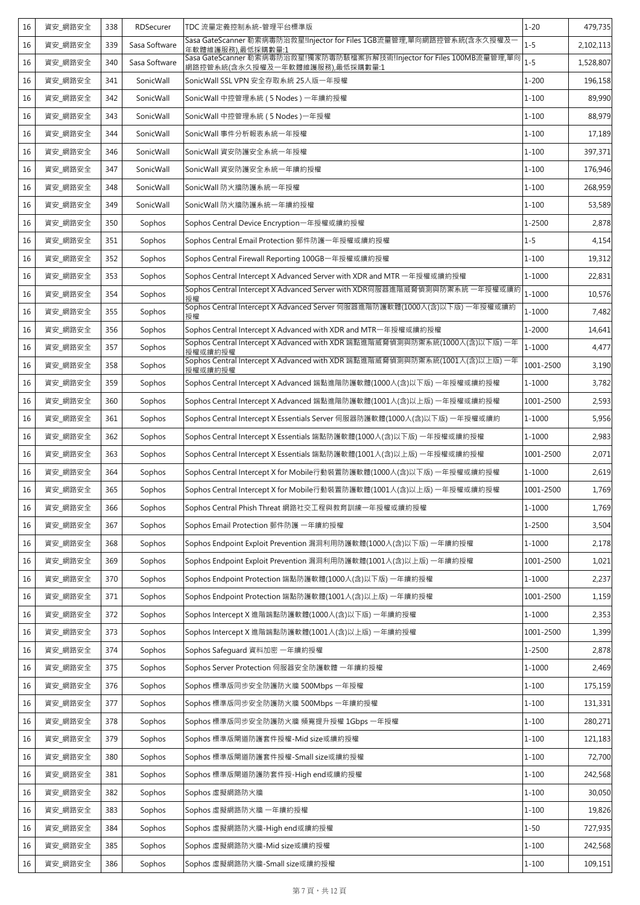| 16 | 資安_網路安全 | 338 | RDSecurer     | TDC 流量定義控制系統-管理平台標準版                                                                                      | $1 - 20$   | 479,735   |
|----|---------|-----|---------------|-----------------------------------------------------------------------------------------------------------|------------|-----------|
| 16 | 資安 網路安全 | 339 | Sasa Software | Sasa GateScanner 勒索病毒防治救星!Injector for Files 1GB流量管理,單向網路控管系統(含永久授權及一<br>年軟體維護服務).最低採購數量:1                | $1 - 5$    | 2,102,113 |
| 16 | 資安_網路安全 | 340 | Sasa Software | Sasa GateScanner 勒索病毒防治救星!獨家防毒防駭檔案拆解技術!Injector for Files 100MB流量管理,單向<br>網路控管系統(含永久授權及一年軟體維護服務),最低採購數量:1 | $1 - 5$    | 1,528,807 |
| 16 | 資安_網路安全 | 341 | SonicWall     | SonicWall SSL VPN 安全存取系統 25人版一年授權                                                                         | $1 - 200$  | 196,158   |
| 16 | 資安_網路安全 | 342 | SonicWall     | SonicWall 中控管理系統 (5 Nodes) 一年續約授權                                                                         | $1 - 100$  | 89,990    |
| 16 | 資安_網路安全 | 343 | SonicWall     | SonicWall 中控管理系統 (5 Nodes) 一年授權                                                                           | $1 - 100$  | 88,979    |
| 16 | 資安 網路安全 | 344 | SonicWall     | SonicWall 事件分析報表系統一年授權                                                                                    | $1 - 100$  | 17,189    |
| 16 | 資安_網路安全 | 346 | SonicWall     | SonicWall 資安防護安全系統一年授權                                                                                    | $1 - 100$  | 397,371   |
| 16 | 資安_網路安全 | 347 | SonicWall     | SonicWall 資安防護安全系統一年續約授權                                                                                  | $1 - 100$  | 176,946   |
| 16 | 資安_網路安全 | 348 | SonicWall     | SonicWall 防火牆防護系統一年授權                                                                                     | $1 - 100$  | 268,959   |
| 16 | 資安_網路安全 | 349 | SonicWall     | SonicWall 防火牆防護系統一年續約授權                                                                                   | $1 - 100$  | 53,589    |
| 16 | 資安_網路安全 | 350 | Sophos        | Sophos Central Device Encryption-年授權或續約授權                                                                 | 1-2500     | 2,878     |
| 16 | 資安_網路安全 | 351 | Sophos        | Sophos Central Email Protection 郵件防護一年授權或續約授權                                                             | $1 - 5$    | 4,154     |
| 16 | 資安_網路安全 | 352 | Sophos        | Sophos Central Firewall Reporting 100GB-年授權或續約授權                                                          | $1 - 100$  | 19,312    |
| 16 | 資安_網路安全 | 353 | Sophos        | Sophos Central Intercept X Advanced Server with XDR and MTR 一年授權或續約授權                                     | 1-1000     | 22,831    |
| 16 | 資安 網路安全 | 354 | Sophos        | Sophos Central Intercept X Advanced Server with XDR伺服器進階威脅偵測與防禦系統 一年授權或續約<br>授權                           | 1-1000     | 10,576    |
| 16 | 資安_網路安全 | 355 | Sophos        | Sophos Central Intercept X Advanced Server 伺服器進階防護軟體(1000人(含)以下版) 一年授權或續約<br>授權                           | 1-1000     | 7,482     |
| 16 | 資安_網路安全 | 356 | Sophos        | Sophos Central Intercept X Advanced with XDR and MTR-年授權或續約授權                                             | $1 - 2000$ | 14,641    |
| 16 | 資安_網路安全 | 357 | Sophos        | Sophos Central Intercept X Advanced with XDR 端點進階威脅偵測與防禦系統(1000人(含)以下版)一年<br>授權或續約授權                      | $1 - 1000$ | 4,477     |
| 16 | 資安_網路安全 | 358 | Sophos        | Sophos Central Intercept X Advanced with XDR 端點進階威脅偵測與防禦系統(1001人(含)以上版) 一年<br>授權或續約授權                     | 1001-2500  | 3,190     |
| 16 | 資安_網路安全 | 359 | Sophos        | Sophos Central Intercept X Advanced 端點進階防護軟體(1000人(含)以下版)一年授權或續約授權                                        | 1-1000     | 3,782     |
| 16 | 資安_網路安全 | 360 | Sophos        | Sophos Central Intercept X Advanced 端點進階防護軟體(1001人(含)以上版) 一年授權或續約授權                                       | 1001-2500  | 2,593     |
| 16 | 資安_網路安全 | 361 | Sophos        | Sophos Central Intercept X Essentials Server 伺服器防護軟體(1000人(含)以下版) 一年授權或續約                                 | 1-1000     | 5,956     |
| 16 | 資安_網路安全 | 362 | Sophos        | Sophos Central Intercept X Essentials 端點防護軟體(1000人(含)以下版) 一年授權或續約授權                                       | 1-1000     | 2,983     |
| 16 | 資安_網路安全 | 363 | Sophos        | Sophos Central Intercept X Essentials 端點防護軟體(1001人(含)以上版) 一年授權或續約授權                                       | 1001-2500  | 2,071     |
| 16 | 資安_網路安全 | 364 | Sophos        | Sophos Central Intercept X for Mobile行動裝置防護軟體(1000人(含)以下版)一年授權或續約授權                                       | 1-1000     | 2,619     |
| 16 | 資安 網路安全 | 365 | Sophos        | Sophos Central Intercept X for Mobile行動裝置防護軟體(1001人(含)以上版)一年授權或續約授權                                       | 1001-2500  | 1,769     |
| 16 | 資安_網路安全 | 366 | Sophos        | Sophos Central Phish Threat 網路社交工程與教育訓練一年授權或續約授權                                                          | $1 - 1000$ | 1,769     |
| 16 | 資安_網路安全 | 367 | Sophos        | Sophos Email Protection 郵件防護 一年續約授權                                                                       | 1-2500     | 3,504     |
| 16 | 資安 網路安全 | 368 | Sophos        | Sophos Endpoint Exploit Prevention 漏洞利用防護軟體(1000人(含)以下版) 一年續約授權                                           | 1-1000     | 2,178     |
| 16 | 資安_網路安全 | 369 | Sophos        | Sophos Endpoint Exploit Prevention 漏洞利用防護軟體(1001人(含)以上版) 一年續約授權                                           | 1001-2500  | 1,021     |
| 16 | 資安_網路安全 | 370 | Sophos        | Sophos Endpoint Protection 端點防護軟體(1000人(含)以下版) 一年續約授權                                                     | 1-1000     | 2,237     |
| 16 | 資安_網路安全 | 371 | Sophos        | Sophos Endpoint Protection 端點防護軟體(1001人(含)以上版) 一年續約授權                                                     | 1001-2500  | 1,159     |
| 16 | 資安_網路安全 | 372 | Sophos        | Sophos Intercept X 進階端點防護軟體(1000人(含)以下版) 一年續約授權                                                           | 1-1000     | 2,353     |
| 16 | 資安_網路安全 | 373 | Sophos        | Sophos Intercept X 進階端點防護軟體(1001人(含)以上版) 一年續約授權                                                           | 1001-2500  | 1,399     |
| 16 | 資安_網路安全 | 374 | Sophos        | Sophos Safequard 資料加密 一年續約授權                                                                              | 1-2500     | 2,878     |
| 16 | 資安_網路安全 | 375 | Sophos        | Sophos Server Protection 伺服器安全防護軟體 一年續約授權                                                                 | 1-1000     | 2,469     |
| 16 | 資安_網路安全 | 376 | Sophos        | Sophos 標準版同步安全防護防火牆 500Mbps 一年授權                                                                          | $1 - 100$  | 175,159   |
| 16 | 資安_網路安全 | 377 | Sophos        | Sophos 標準版同步安全防護防火牆 500Mbps 一年續約授權                                                                        | $1 - 100$  | 131,331   |
| 16 | 資安_網路安全 | 378 | Sophos        | Sophos 標準版同步安全防護防火牆 頻寬提升授權 1Gbps 一年授權                                                                     | $1 - 100$  | 280,271   |
| 16 | 資安_網路安全 | 379 | Sophos        | Sophos 標準版閘道防護套件授權-Mid size或續約授權                                                                          | $1 - 100$  | 121,183   |
| 16 | 資安_網路安全 | 380 | Sophos        | Sophos 標準版閘道防護套件授權-Small size或續約授權                                                                        | $1 - 100$  | 72,700    |
| 16 | 資安_網路安全 | 381 | Sophos        | Sophos 標準版閘道防護防套件授-High end或續約授權                                                                          | $1 - 100$  | 242,568   |
| 16 | 資安_網路安全 | 382 | Sophos        | Sophos 虛擬網路防火牆                                                                                            | $1 - 100$  | 30,050    |
| 16 | 資安_網路安全 | 383 | Sophos        | Sophos 虛擬網路防火牆 一年續約授權                                                                                     | $1 - 100$  | 19,826    |
| 16 | 資安_網路安全 | 384 | Sophos        | Sophos 虛擬網路防火牆-High end或續約授權                                                                              | $1 - 50$   | 727,935   |
| 16 | 資安_網路安全 | 385 | Sophos        | Sophos 虛擬網路防火牆-Mid size或續約授權                                                                              | $1 - 100$  | 242,568   |
| 16 | 資安_網路安全 | 386 | Sophos        | Sophos 虛擬網路防火牆-Small size或續約授權                                                                            | $1 - 100$  | 109,151   |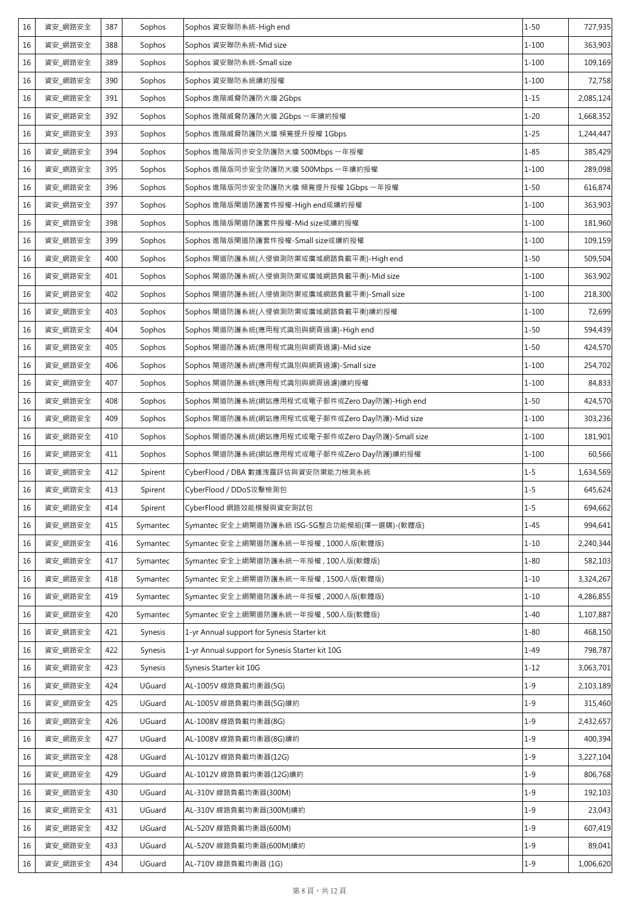| 16 | 資安_網路安全 | 387 | Sophos         | Sophos 資安聯防系統-High end                           | $1 - 50$  | 727,935   |
|----|---------|-----|----------------|--------------------------------------------------|-----------|-----------|
| 16 | 資安_網路安全 | 388 | Sophos         | Sophos 資安聯防系統-Mid size                           | $1 - 100$ | 363,903   |
| 16 | 資安_網路安全 | 389 | Sophos         | Sophos 資安聯防系統-Small size                         | $1 - 100$ | 109,169   |
| 16 | 資安_網路安全 | 390 | Sophos         | Sophos 資安聯防系統續約授權                                | $1 - 100$ | 72,758    |
| 16 | 資安_網路安全 | 391 | Sophos         | Sophos 進階威脅防護防火牆 2Gbps                           | $1 - 15$  | 2,085,124 |
| 16 | 資安 網路安全 | 392 | Sophos         | Sophos 進階威脅防護防火牆 2Gbps 一年續約授權                    | $1 - 20$  | 1,668,352 |
| 16 | 資安 網路安全 | 393 | Sophos         | Sophos 進階威脅防護防火牆 頻寬提升授權 1Gbps                    | $1 - 25$  | 1,244,447 |
| 16 | 資安_網路安全 | 394 | Sophos         | Sophos 進階版同步安全防護防火牆 500Mbps 一年授權                 | $1 - 85$  | 385,429   |
| 16 | 資安_網路安全 | 395 | Sophos         | Sophos 進階版同步安全防護防火牆 500Mbps 一年續約授權               | $1 - 100$ | 289,098   |
| 16 | 資安 網路安全 | 396 | Sophos         | Sophos 進階版同步安全防護防火牆 頻寬提升授權 1Gbps 一年授權            | $1 - 50$  | 616,874   |
| 16 | 資安_網路安全 | 397 | Sophos         | Sophos 進階版閘道防護套件授權-High end或續約授權                 | $1 - 100$ | 363,903   |
| 16 | 資安_網路安全 | 398 | Sophos         | Sophos 進階版閘道防護套件授權-Mid size或續約授權                 | $1 - 100$ | 181,960   |
| 16 | 資安_網路安全 | 399 | Sophos         | Sophos 進階版閘道防護套件授權-Small size或續約授權               | $1 - 100$ | 109,159   |
| 16 | 資安_網路安全 | 400 | Sophos         | Sophos 閘道防護系統(入侵偵測防禦或廣域網路負載平衡)-High end          | $1 - 50$  | 509,504   |
| 16 | 資安_網路安全 | 401 | Sophos         | Sophos 閘道防護系統(入侵偵測防禦或廣域網路負載平衡)-Mid size          | $1 - 100$ | 363,902   |
| 16 | 資安_網路安全 | 402 | Sophos         | Sophos 閘道防護系統(入侵偵測防禦或廣域網路負載平衡)-Small size        | $1 - 100$ | 218,300   |
| 16 | 資安_網路安全 | 403 | Sophos         | Sophos 閘道防護系統(入侵偵測防禦或廣域網路負載平衡)續約授權               | $1 - 100$ | 72,699    |
| 16 | 資安_網路安全 | 404 | Sophos         | Sophos 閘道防護系統(應用程式識別與網頁過濾)-High end              | $1 - 50$  | 594,439   |
| 16 | 資安_網路安全 | 405 | Sophos         | Sophos 閘道防護系統(應用程式識別與網頁過濾)-Mid size              | $1 - 50$  | 424,570   |
| 16 | 資安_網路安全 | 406 | Sophos         | Sophos 閘道防護系統(應用程式識別與網頁過濾)-Small size            | $1 - 100$ | 254,702   |
| 16 | 資安_網路安全 | 407 | Sophos         | Sophos 閘道防護系統(應用程式識別與網頁過濾)續約授權                   | $1 - 100$ | 84,833    |
| 16 | 資安_網路安全 | 408 | Sophos         | Sophos 閘道防護系統(網站應用程式或電子郵件或Zero Day防護)-High end   | $1 - 50$  | 424,570   |
| 16 | 資安_網路安全 | 409 | Sophos         | Sophos 閘道防護系統(網站應用程式或電子郵件或Zero Day防護)-Mid size   | $1 - 100$ | 303,236   |
| 16 | 資安_網路安全 | 410 | Sophos         | Sophos 閘道防護系統(網站應用程式或電子郵件或Zero Day防護)-Small size | $1 - 100$ | 181,901   |
| 16 | 資安_網路安全 | 411 | Sophos         | Sophos 閘道防護系統(網站應用程式或電子郵件或Zero Day防護)續約授權        | $1 - 100$ | 60,566    |
| 16 | 資安_網路安全 | 412 | Spirent        | CyberFlood / DBA 數據洩露評估與資安防禦能力檢測系統               | $1 - 5$   | 1,634,569 |
| 16 | 資安_網路安全 | 413 | Spirent        | CyberFlood / DDoS攻擊檢測包                           | $1 - 5$   | 645,624   |
| 16 | 資安_網路安全 | 414 | Spirent        | CyberFlood 網路效能模擬與資安測試包                          | $1 - 5$   | 694,662   |
| 16 | 資安 網路安全 | 415 | Symantec       | Symantec 安全上網閘道防護系統 ISG-SG整合功能模組(擇一選購)-(軟體版)     | $1 - 45$  | 994,641   |
| 16 | 資安_網路安全 | 416 | Symantec       | Symantec 安全上網閘道防護系統一年授權, 1000人版(軟體版)             | $1 - 10$  | 2,240,344 |
| 16 | 資安_網路安全 | 417 | Symantec       | Symantec 安全上網閘道防護系統一年授權, 100人版(軟體版)              | $1 - 80$  | 582,103   |
| 16 | 資安_網路安全 | 418 | Symantec       | Symantec 安全上網閘道防護系統一年授權, 1500人版(軟體版)             | $1 - 10$  | 3,324,267 |
| 16 | 資安_網路安全 | 419 | Symantec       | Symantec 安全上網閘道防護系統一年授權, 2000人版(軟體版)             | $1 - 10$  | 4,286,855 |
| 16 | 資安_網路安全 | 420 | Symantec       | Symantec 安全上網閘道防護系統一年授權, 500人版(軟體版)              | $1 - 40$  | 1,107,887 |
| 16 | 資安_網路安全 | 421 | <b>Synesis</b> | 1-yr Annual support for Synesis Starter kit      | $1 - 80$  | 468,150   |
| 16 | 資安_網路安全 | 422 | Synesis        | 1-yr Annual support for Synesis Starter kit 10G  | $1 - 49$  | 798,787   |
| 16 | 資安_網路安全 | 423 | Synesis        | Synesis Starter kit 10G                          | $1 - 12$  | 3,063,701 |
| 16 | 資安_網路安全 | 424 | UGuard         | AL-1005V 線路負載均衡器(5G)                             | $1 - 9$   | 2,103,189 |
| 16 | 資安_網路安全 | 425 | UGuard         | AL-1005V 線路負載均衡器(5G)續約                           | $1 - 9$   | 315,460   |
| 16 | 資安_網路安全 | 426 | UGuard         | AL-1008V 線路負載均衡器(8G)                             | $1 - 9$   | 2,432,657 |
| 16 | 資安_網路安全 | 427 | UGuard         | AL-1008V 線路負載均衡器(8G)續約                           | $1 - 9$   | 400,394   |
| 16 | 資安_網路安全 | 428 | UGuard         | AL-1012V 線路負載均衡器(12G)                            | $1 - 9$   | 3,227,104 |
| 16 | 資安_網路安全 | 429 | UGuard         | AL-1012V 線路負載均衡器(12G)續約                          | $1 - 9$   | 806,768   |
| 16 | 資安_網路安全 | 430 | UGuard         | AL-310V 線路負載均衡器(300M)                            | $1 - 9$   | 192,103   |
| 16 | 資安_網路安全 | 431 | UGuard         | AL-310V 線路負載均衡器(300M)續約                          | $1 - 9$   | 23,043    |
| 16 | 資安_網路安全 | 432 | UGuard         | AL-520V 線路負載均衡器(600M)                            | $1 - 9$   | 607,419   |
| 16 | 資安_網路安全 | 433 | UGuard         | AL-520V 線路負載均衡器(600M)續約                          | $1 - 9$   | 89,041    |
| 16 | 資安_網路安全 | 434 | UGuard         | AL-710V 線路負載均衡器 (1G)                             | $1 - 9$   | 1,006,620 |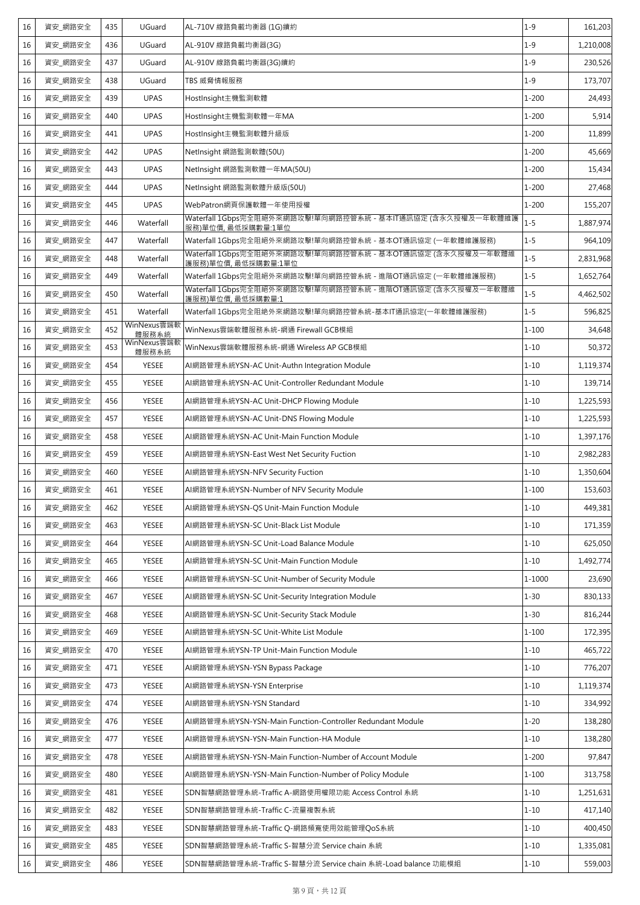| 16 | 資安_網路安全 | 435 | UGuard               | AL-710V 線路負載均衡器 (1G)續約                                                            | $1 - 9$   | 161,203   |
|----|---------|-----|----------------------|-----------------------------------------------------------------------------------|-----------|-----------|
| 16 | 資安_網路安全 | 436 | UGuard               | AL-910V 線路負載均衡器(3G)                                                               | $1 - 9$   | 1,210,008 |
| 16 | 資安_網路安全 | 437 | UGuard               | AL-910V 線路負載均衡器(3G)續約                                                             | $1 - 9$   | 230,526   |
| 16 | 資安_網路安全 | 438 | UGuard               | TBS 威脅情報服務                                                                        | $1 - 9$   | 173,707   |
| 16 | 資安 網路安全 | 439 | <b>UPAS</b>          | HostInsight主機監測軟體                                                                 | $1 - 200$ | 24,493    |
| 16 | 資安 網路安全 | 440 | <b>UPAS</b>          | HostInsight主機監測軟體一年MA                                                             | $1 - 200$ | 5,914     |
| 16 | 資安 網路安全 | 441 | <b>UPAS</b>          | HostInsight主機監測軟體升級版                                                              | $1 - 200$ | 11,899    |
| 16 | 資安_網路安全 | 442 | <b>UPAS</b>          | NetInsight 網路監測軟體(50U)                                                            | $1 - 200$ | 45,669    |
| 16 | 資安 網路安全 | 443 | <b>UPAS</b>          | NetInsight 網路監測軟體一年MA(50U)                                                        | $1 - 200$ | 15,434    |
| 16 | 資安_網路安全 | 444 | <b>UPAS</b>          | NetInsight 網路監測軟體升級版(50U)                                                         | $1 - 200$ | 27,468    |
| 16 | 資安 網路安全 | 445 | <b>UPAS</b>          | WebPatron網頁保護軟體一年使用授權                                                             | $1 - 200$ | 155,207   |
| 16 | 資安_網路安全 | 446 | Waterfall            | Waterfall 1Gbps完全阻絕外來網路攻擊!單向網路控管系統 - 基本IT通訊協定 (含永久授權及一年軟體維護<br>服務)單位價, 最低採購數量:1單位 | $1 - 5$   | 1,887,974 |
| 16 | 資安_網路安全 | 447 | Waterfall            | Waterfall 1Gbps完全阻絕外來網路攻擊!單向網路控管系統 - 基本OT通訊協定 (一年軟體維護服務)                          | $1 - 5$   | 964,109   |
| 16 | 資安 網路安全 | 448 | Waterfall            | Waterfall 1Gbps完全阻絕外來網路攻擊!單向網路控管系統 - 基本OT通訊協定 (含永久授權及一年軟體維<br>護服務)單位價, 最低採購數量:1單位 | $1 - 5$   | 2,831,968 |
| 16 | 資安_網路安全 | 449 | Waterfall            | Waterfall 1Gbps完全阻絕外來網路攻擊!單向網路控管系統 - 進階OT通訊協定 (一年軟體維護服務)                          | $1 - 5$   | 1,652,764 |
| 16 | 資安 網路安全 | 450 | Waterfall            | Waterfall 1Gbps完全阻絕外來網路攻擊!單向網路控管系統 - 進階OT通訊協定 (含永久授權及一年軟體維<br>護服務)單位價,最低採購數量:1    | $1 - 5$   | 4,462,502 |
| 16 | 資安_網路安全 | 451 | Waterfall            | Waterfall 1Gbps完全阻絶外來網路攻擊!單向網路控管系統-基本IT通訊協定(一年軟體維護服務)                             | $1 - 5$   | 596,825   |
| 16 | 資安 網路安全 | 452 | WinNexus雲端軟<br>體服務系統 | WinNexus雲端軟體服務系統-網通 Firewall GCB模組                                                | $1 - 100$ | 34,648    |
| 16 | 資安_網路安全 | 453 | WinNexus雲端軟<br>體服務系統 | WinNexus雲端軟體服務系統-網通 Wireless AP GCB模組                                             | $1 - 10$  | 50,372    |
| 16 | 資安_網路安全 | 454 | YESEE                | AI網路管理系統YSN-AC Unit-Authn Integration Module                                      | $1 - 10$  | 1,119,374 |
| 16 | 資安_網路安全 | 455 | <b>YESEE</b>         | AI網路管理系統YSN-AC Unit-Controller Redundant Module                                   | $1 - 10$  | 139,714   |
| 16 | 資安 網路安全 | 456 | <b>YESEE</b>         | AI網路管理系統YSN-AC Unit-DHCP Flowing Module                                           | $1 - 10$  | 1,225,593 |
| 16 | 資安_網路安全 | 457 | <b>YESEE</b>         | AI網路管理系統YSN-AC Unit-DNS Flowing Module                                            | $1 - 10$  | 1,225,593 |
| 16 | 資安 網路安全 | 458 | YESEE                | AI網路管理系統YSN-AC Unit-Main Function Module                                          | $1 - 10$  | 1,397,176 |
| 16 | 資安_網路安全 | 459 | <b>YESEE</b>         | AI網路管理系統YSN-East West Net Security Fuction                                        | $1 - 10$  | 2,982,283 |
| 16 | 資安 網路安全 | 460 | <b>YESEE</b>         | AI網路管理系統YSN-NFV Security Fuction                                                  | $1 - 10$  | 1,350,604 |
| 16 | 資安_網路安全 | 461 | YESEE                | AI網路管理系統YSN-Number of NFV Security Module                                         | $1 - 100$ | 153,603   |
| 16 | 資安_網路安全 | 462 | YESEE                | AI網路管理系統YSN-QS Unit-Main Function Module                                          | $1 - 10$  | 449,381   |
| 16 | 資安_網路安全 | 463 | YESEE                | AI網路管理系統YSN-SC Unit-Black List Module                                             | $1 - 10$  | 171,359   |
| 16 | 資安_網路安全 | 464 | YESEE                | AI網路管理系統YSN-SC Unit-Load Balance Module                                           | $1 - 10$  | 625,050   |
| 16 | 資安 網路安全 | 465 | YESEE                | AI網路管理系統YSN-SC Unit-Main Function Module                                          | $1 - 10$  | 1,492,774 |
| 16 | 資安_網路安全 | 466 | YESEE                | AI網路管理系統YSN-SC Unit-Number of Security Module                                     | 1-1000    | 23,690    |
| 16 | 資安_網路安全 | 467 | YESEE                | AI網路管理系統YSN-SC Unit-Security Integration Module                                   | $1 - 30$  | 830,133   |
| 16 | 資安_網路安全 | 468 | YESEE                | AI網路管理系統YSN-SC Unit-Security Stack Module                                         | $1 - 30$  | 816,244   |
| 16 | 資安 網路安全 | 469 | YESEE                | AI網路管理系統YSN-SC Unit-White List Module                                             | $1 - 100$ | 172,395   |
| 16 | 資安_網路安全 | 470 | <b>YESEE</b>         | AI網路管理系統YSN-TP Unit-Main Function Module                                          | $1 - 10$  | 465,722   |
| 16 | 資安 網路安全 | 471 | YESEE                | AI網路管理系統YSN-YSN Bypass Package                                                    | $1 - 10$  | 776,207   |
| 16 | 資安_網路安全 | 473 | YESEE                | AI網路管理系統YSN-YSN Enterprise                                                        | $1 - 10$  | 1,119,374 |
| 16 | 資安 網路安全 | 474 | <b>YESEE</b>         | AI網路管理系統YSN-YSN Standard                                                          | $1 - 10$  | 334,992   |
| 16 | 資安_網路安全 | 476 | YESEE                | AI網路管理系統YSN-YSN-Main Function-Controller Redundant Module                         | $1 - 20$  | 138,280   |
| 16 | 資安_網路安全 | 477 | YESEE                | AI網路管理系統YSN-YSN-Main Function-HA Module                                           | $1 - 10$  | 138,280   |
| 16 | 資安_網路安全 | 478 | YESEE                | AI網路管理系統YSN-YSN-Main Function-Number of Account Module                            | $1 - 200$ | 97,847    |
| 16 | 資安_網路安全 | 480 | YESEE                | AI網路管理系統YSN-YSN-Main Function-Number of Policy Module                             | $1 - 100$ | 313,758   |
| 16 | 資安_網路安全 | 481 | YESEE                | SDN智慧網路管理系統-Traffic A-網路使用權限功能 Access Control 系統                                  | $1 - 10$  | 1,251,631 |
| 16 | 資安_網路安全 | 482 | YESEE                | SDN智慧網路管理系統-Traffic C-流量複製系統                                                      | $1 - 10$  | 417,140   |
| 16 | 資安_網路安全 | 483 | YESEE                | SDN智慧網路管理系統-Traffic Q-網路頻寬使用效能管理QoS系統                                             | $1 - 10$  | 400,450   |
| 16 | 資安 網路安全 | 485 | YESEE                | SDN智慧網路管理系統-Traffic S-智慧分流 Service chain 系統                                       | $1 - 10$  | 1,335,081 |
| 16 | 資安_網路安全 | 486 | YESEE                | SDN智慧網路管理系統-Traffic S-智慧分流 Service chain 系統-Load balance 功能模組                     | $1 - 10$  | 559,003   |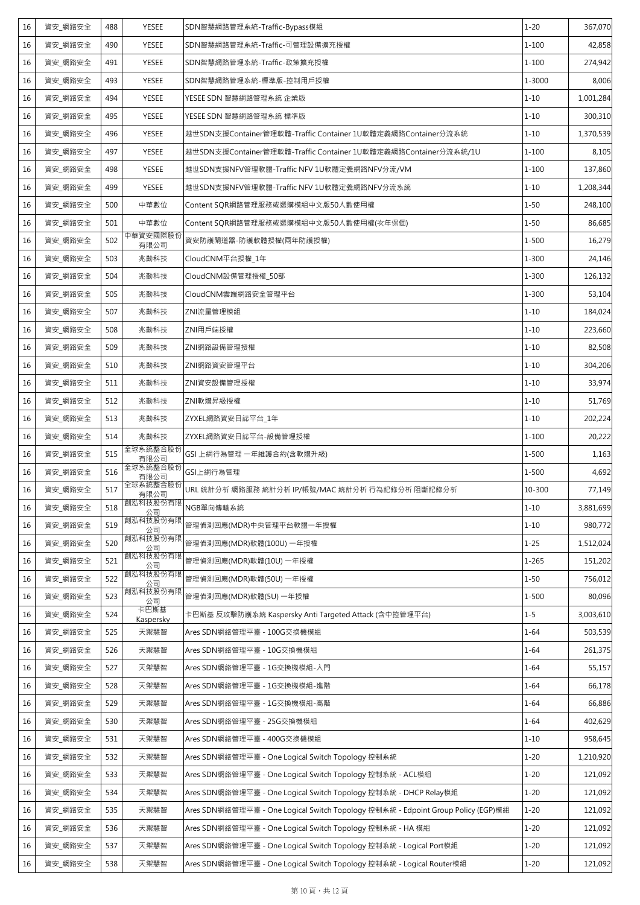| 16<br><b>YESEE</b><br>SDN智慧網路管理系統-Traffic-可管理設備擴充授權<br>$1 - 100$<br>資安_網路安全<br>490<br>資安_網路安全<br><b>YESEE</b><br>SDN智慧網路管理系統-Traffic-政策擴充授權<br>$1 - 100$<br>16<br>491<br>493<br>YESEE<br>1-3000<br>16<br>資安 網路安全<br>SDN智慧網路管理系統-標準版-控制用戶授權<br>$1 - 10$<br>資安_網路安全<br><b>YESEE</b><br>YESEE SDN 智慧網路管理系統 企業版<br>1,001,284<br>16<br>494<br>16<br>495<br><b>YESEE</b><br>YESEE SDN 智慧網路管理系統 標準版<br>$1 - 10$<br>資安 網路安全<br>資安_網路安全<br>越世SDN支援Container管理軟體-Traffic Container 1U軟體定義網路Container分流系統<br>16<br>496<br><b>YESEE</b><br>$1 - 10$<br>$1 - 100$<br>16<br>資安 網路安全<br>497<br>YESEE<br>越世SDN支援Container管理軟體-Traffic Container 1U軟體定義網路Container分流系統/1U<br>資安_網路安全<br><b>YESEE</b><br>$1 - 100$<br>16<br>498<br>越世SDN支援NFV管理軟體-Traffic NFV 1U軟體定義網路NFV分流/VM<br>$1 - 10$<br>16<br>資安 網路安全<br>499<br><b>YESEE</b><br>越世SDN支援NFV管理軟體-Traffic NFV 1U軟體定義網路NFV分流系統<br>1,208,344<br>16<br>資安_網路安全<br>500<br>中華數位<br>Content SQR網路管理服務或選購模組中文版50人數使用權<br>$1 - 50$<br>$1 - 50$<br>16<br>資安_網路安全<br>501<br>中華數位<br>Content SQR網路管理服務或選購模組中文版50人數使用權(次年保個)<br>中華資安國際股份<br>資安_網路安全<br>$1 - 500$<br>502<br>資安防護閘道器-防護軟體授權(兩年防護授權)<br>16<br>有限公司<br>兆勤科技<br>$1 - 300$<br>16<br>資安 網路安全<br>503<br>CloudCNM平台授權_1年<br>16<br>資安 網路安全<br>504<br>兆勤科技<br>CloudCNM設備管理授權_50部<br>$1 - 300$<br>505<br>$1 - 300$<br>16<br>資安 網路安全<br>兆勤科技<br>CloudCNM雲端網路安全管理平台<br>資安_網路安全<br>兆勤科技<br>$1 - 10$<br>16<br>507<br>ZNI流量管理模組<br>$1 - 10$<br>資安 網路安全<br>兆勤科技<br>ZNI用戶端授權<br>16<br>508<br>16<br>509<br>兆勤科技<br>ZNI網路設備管理授權<br>$1 - 10$<br>資安 網路安全<br>資安_網路安全<br>兆勤科技<br>ZNI網路資安管理平台<br>$1 - 10$<br>16<br>510<br>$1 - 10$<br>資安_網路安全<br>ZNI資安設備管理授權<br>16<br>511<br>兆勤科技<br>資安_網路安全<br>512<br>兆勤科技<br>ZNI軟體昇級授權<br>$1 - 10$<br>16<br>兆勤科技<br>$1 - 10$<br>16<br>資安 網路安全<br>513<br>ZYXEL網路資安日誌平台_1年<br>資安 網路安全<br>兆勤科技<br>ZYXEL網路資安日誌平台-設備管理授權<br>16<br>514<br>$1 - 100$<br>全球系統整合股份<br>515<br>GSI 上網行為管理 一年維護合約(含軟體升級)<br>$1 - 500$<br>16<br>資安 網路安全<br>有限公司<br>全球系統整合股份<br>資安_網路安全<br>GSI上網行為管理<br>$1 - 500$<br>516<br>16<br>有限公司<br>全球系統整合股份<br>資安_網路安全<br>517<br>URL 統計分析 網路服務 統計分析 IP/帳號/MAC 統計分析 行為記錄分析 阻斷記錄分析<br>10-300<br>16<br>有限公司<br>創泓科技股份有限<br>資安_網路安全<br>518<br>NGB單向傳輸系統<br>$1 - 10$<br>16<br>公司<br>創泓科技股份有阳<br>管理偵測回應(MDR)中央管理平台軟體一年授權<br>$1 - 10$<br>16<br>資安_網路安全<br>519<br>公司<br>創泓科技股份有限<br>資安_網路安全<br>520<br>管理偵測回應(MDR)軟體(100U) 一年授權<br>$1 - 25$<br>16<br>公司<br>創泓科技股份有限<br>管理偵測回應(MDR)軟體(10U) 一年授權<br>$1 - 265$<br>資安_網路安全<br>521<br>16<br>公司<br>創泓科技股份有限<br>管理偵測回應(MDR)軟體(50U) 一年授權<br>資安_網路安全<br>522<br>$1 - 50$<br>16<br>公司<br>創泓科技股份有限<br>$1 - 500$<br>資安_網路安全<br>523<br>管理偵測回應(MDR)軟體(5U) 一年授權<br>16<br>公司<br>卡巴斯基<br>資安 網路安全<br>524<br>卡巴斯基 反攻擊防護系統 Kaspersky Anti Targeted Attack (含中控管理平台)<br>$1 - 5$<br>16<br>Kaspersky<br>資安_網路安全<br>天禦慧智<br>Ares SDN網絡管理平臺 - 100G交換機模組<br>$1 - 64$<br>16<br>525<br>資安_網路安全<br>天禦慧智<br>Ares SDN網絡管理平臺 - 10G交換機模組<br>$1 - 64$<br>16<br>526<br>$1 - 64$<br>資安 網路安全<br>天禦慧智<br>Ares SDN網絡管理平臺 - 1G交換機模組-入門<br>16<br>527<br>資安 網路安全<br>天禦慧智<br>Ares SDN網絡管理平臺 - 1G交換機模組-進階<br>$1 - 64$<br>16<br>528<br>資安 網路安全<br>529<br>天禦慧智<br>Ares SDN網絡管理平臺 - 1G交換機模組-高階<br>$1 - 64$<br>16<br>16<br>資安_網路安全<br>天禦慧智<br>Ares SDN網絡管理平臺 - 25G交換機模組<br>$1 - 64$<br>530<br>$1 - 10$<br>資安_網路安全<br>天禦慧智<br>Ares SDN網絡管理平臺 - 400G交換機模組<br>16<br>531<br>$1 - 20$<br>資安_網路安全<br>532<br>天禦慧智<br>Ares SDN網絡管理平臺 - One Logical Switch Topology 控制系統<br>16<br>資安_網路安全<br>天禦慧智<br>$1 - 20$<br>533<br>Ares SDN網絡管理平臺 - One Logical Switch Topology 控制系統 - ACL模組<br>16<br>$1 - 20$<br>16<br>資安_網路安全<br>天禦慧智<br>Ares SDN網絡管理平臺 - One Logical Switch Topology 控制系統 - DHCP Relay模組<br>534<br>Ares SDN網絡管理平臺 - One Logical Switch Topology 控制系統 - Edpoint Group Policy (EGP)模組<br>$1 - 20$<br>16<br>資安_網路安全<br>535<br>天禦慧智<br>$1 - 20$<br>資安_網路安全<br>536<br>天禦慧智<br>Ares SDN網絡管理平臺 - One Logical Switch Topology 控制系統 - HA 模組<br>16<br>資安_網路安全<br>天禦慧智<br>Ares SDN網絡管理平臺 - One Logical Switch Topology 控制系統 - Logical Port模組<br>$1 - 20$<br>537<br>16<br>天禦慧智<br>Ares SDN網絡管理平臺 - One Logical Switch Topology 控制系統 - Logical Router模組<br>$1 - 20$<br>16<br>資安_網路安全<br>538 | 16 | 資安 網路安全 | 488 | <b>YESEE</b> | SDN智慧網路管理系統-Traffic-Bypass模組 | $1 - 20$ | 367,070   |
|---------------------------------------------------------------------------------------------------------------------------------------------------------------------------------------------------------------------------------------------------------------------------------------------------------------------------------------------------------------------------------------------------------------------------------------------------------------------------------------------------------------------------------------------------------------------------------------------------------------------------------------------------------------------------------------------------------------------------------------------------------------------------------------------------------------------------------------------------------------------------------------------------------------------------------------------------------------------------------------------------------------------------------------------------------------------------------------------------------------------------------------------------------------------------------------------------------------------------------------------------------------------------------------------------------------------------------------------------------------------------------------------------------------------------------------------------------------------------------------------------------------------------------------------------------------------------------------------------------------------------------------------------------------------------------------------------------------------------------------------------------------------------------------------------------------------------------------------------------------------------------------------------------------------------------------------------------------------------------------------------------------------------------------------------------------------------------------------------------------------------------------------------------------------------------------------------------------------------------------------------------------------------------------------------------------------------------------------------------------------------------------------------------------------------------------------------------------------------------------------------------------------------------------------------------------------------------------------------------------------------------------------------------------------------------------------------------------------------------------------------------------------------------------------------------------------------------------------------------------------------------------------------------------------------------------------------------------------------------------------------------------------------------------------------------------------------------------------------------------------------------------------------------------------------------------------------------------------------------------------------------------------------------------------------------------------------------------------------------------------------------------------------------------------------------------------------------------------------------------------------------------------------------------------------------------------------------------------------------------------------------------------------------------------------------------------------------------------------------------------------------------------------------------------------------------------------------------------------------------------------------------------------------------------------------------------------------------------------------------------------------------------------------------------------------------------------|----|---------|-----|--------------|------------------------------|----------|-----------|
|                                                                                                                                                                                                                                                                                                                                                                                                                                                                                                                                                                                                                                                                                                                                                                                                                                                                                                                                                                                                                                                                                                                                                                                                                                                                                                                                                                                                                                                                                                                                                                                                                                                                                                                                                                                                                                                                                                                                                                                                                                                                                                                                                                                                                                                                                                                                                                                                                                                                                                                                                                                                                                                                                                                                                                                                                                                                                                                                                                                                                                                                                                                                                                                                                                                                                                                                                                                                                                                                                                                                                                                                                                                                                                                                                                                                                                                                                                                                                                                                                                                                           |    |         |     |              |                              |          | 42,858    |
|                                                                                                                                                                                                                                                                                                                                                                                                                                                                                                                                                                                                                                                                                                                                                                                                                                                                                                                                                                                                                                                                                                                                                                                                                                                                                                                                                                                                                                                                                                                                                                                                                                                                                                                                                                                                                                                                                                                                                                                                                                                                                                                                                                                                                                                                                                                                                                                                                                                                                                                                                                                                                                                                                                                                                                                                                                                                                                                                                                                                                                                                                                                                                                                                                                                                                                                                                                                                                                                                                                                                                                                                                                                                                                                                                                                                                                                                                                                                                                                                                                                                           |    |         |     |              |                              |          | 274,942   |
|                                                                                                                                                                                                                                                                                                                                                                                                                                                                                                                                                                                                                                                                                                                                                                                                                                                                                                                                                                                                                                                                                                                                                                                                                                                                                                                                                                                                                                                                                                                                                                                                                                                                                                                                                                                                                                                                                                                                                                                                                                                                                                                                                                                                                                                                                                                                                                                                                                                                                                                                                                                                                                                                                                                                                                                                                                                                                                                                                                                                                                                                                                                                                                                                                                                                                                                                                                                                                                                                                                                                                                                                                                                                                                                                                                                                                                                                                                                                                                                                                                                                           |    |         |     |              |                              |          | 8,006     |
|                                                                                                                                                                                                                                                                                                                                                                                                                                                                                                                                                                                                                                                                                                                                                                                                                                                                                                                                                                                                                                                                                                                                                                                                                                                                                                                                                                                                                                                                                                                                                                                                                                                                                                                                                                                                                                                                                                                                                                                                                                                                                                                                                                                                                                                                                                                                                                                                                                                                                                                                                                                                                                                                                                                                                                                                                                                                                                                                                                                                                                                                                                                                                                                                                                                                                                                                                                                                                                                                                                                                                                                                                                                                                                                                                                                                                                                                                                                                                                                                                                                                           |    |         |     |              |                              |          |           |
|                                                                                                                                                                                                                                                                                                                                                                                                                                                                                                                                                                                                                                                                                                                                                                                                                                                                                                                                                                                                                                                                                                                                                                                                                                                                                                                                                                                                                                                                                                                                                                                                                                                                                                                                                                                                                                                                                                                                                                                                                                                                                                                                                                                                                                                                                                                                                                                                                                                                                                                                                                                                                                                                                                                                                                                                                                                                                                                                                                                                                                                                                                                                                                                                                                                                                                                                                                                                                                                                                                                                                                                                                                                                                                                                                                                                                                                                                                                                                                                                                                                                           |    |         |     |              |                              |          | 300,310   |
|                                                                                                                                                                                                                                                                                                                                                                                                                                                                                                                                                                                                                                                                                                                                                                                                                                                                                                                                                                                                                                                                                                                                                                                                                                                                                                                                                                                                                                                                                                                                                                                                                                                                                                                                                                                                                                                                                                                                                                                                                                                                                                                                                                                                                                                                                                                                                                                                                                                                                                                                                                                                                                                                                                                                                                                                                                                                                                                                                                                                                                                                                                                                                                                                                                                                                                                                                                                                                                                                                                                                                                                                                                                                                                                                                                                                                                                                                                                                                                                                                                                                           |    |         |     |              |                              |          | 1,370,539 |
|                                                                                                                                                                                                                                                                                                                                                                                                                                                                                                                                                                                                                                                                                                                                                                                                                                                                                                                                                                                                                                                                                                                                                                                                                                                                                                                                                                                                                                                                                                                                                                                                                                                                                                                                                                                                                                                                                                                                                                                                                                                                                                                                                                                                                                                                                                                                                                                                                                                                                                                                                                                                                                                                                                                                                                                                                                                                                                                                                                                                                                                                                                                                                                                                                                                                                                                                                                                                                                                                                                                                                                                                                                                                                                                                                                                                                                                                                                                                                                                                                                                                           |    |         |     |              |                              |          | 8,105     |
|                                                                                                                                                                                                                                                                                                                                                                                                                                                                                                                                                                                                                                                                                                                                                                                                                                                                                                                                                                                                                                                                                                                                                                                                                                                                                                                                                                                                                                                                                                                                                                                                                                                                                                                                                                                                                                                                                                                                                                                                                                                                                                                                                                                                                                                                                                                                                                                                                                                                                                                                                                                                                                                                                                                                                                                                                                                                                                                                                                                                                                                                                                                                                                                                                                                                                                                                                                                                                                                                                                                                                                                                                                                                                                                                                                                                                                                                                                                                                                                                                                                                           |    |         |     |              |                              |          | 137,860   |
|                                                                                                                                                                                                                                                                                                                                                                                                                                                                                                                                                                                                                                                                                                                                                                                                                                                                                                                                                                                                                                                                                                                                                                                                                                                                                                                                                                                                                                                                                                                                                                                                                                                                                                                                                                                                                                                                                                                                                                                                                                                                                                                                                                                                                                                                                                                                                                                                                                                                                                                                                                                                                                                                                                                                                                                                                                                                                                                                                                                                                                                                                                                                                                                                                                                                                                                                                                                                                                                                                                                                                                                                                                                                                                                                                                                                                                                                                                                                                                                                                                                                           |    |         |     |              |                              |          |           |
|                                                                                                                                                                                                                                                                                                                                                                                                                                                                                                                                                                                                                                                                                                                                                                                                                                                                                                                                                                                                                                                                                                                                                                                                                                                                                                                                                                                                                                                                                                                                                                                                                                                                                                                                                                                                                                                                                                                                                                                                                                                                                                                                                                                                                                                                                                                                                                                                                                                                                                                                                                                                                                                                                                                                                                                                                                                                                                                                                                                                                                                                                                                                                                                                                                                                                                                                                                                                                                                                                                                                                                                                                                                                                                                                                                                                                                                                                                                                                                                                                                                                           |    |         |     |              |                              |          | 248,100   |
|                                                                                                                                                                                                                                                                                                                                                                                                                                                                                                                                                                                                                                                                                                                                                                                                                                                                                                                                                                                                                                                                                                                                                                                                                                                                                                                                                                                                                                                                                                                                                                                                                                                                                                                                                                                                                                                                                                                                                                                                                                                                                                                                                                                                                                                                                                                                                                                                                                                                                                                                                                                                                                                                                                                                                                                                                                                                                                                                                                                                                                                                                                                                                                                                                                                                                                                                                                                                                                                                                                                                                                                                                                                                                                                                                                                                                                                                                                                                                                                                                                                                           |    |         |     |              |                              |          | 86,685    |
|                                                                                                                                                                                                                                                                                                                                                                                                                                                                                                                                                                                                                                                                                                                                                                                                                                                                                                                                                                                                                                                                                                                                                                                                                                                                                                                                                                                                                                                                                                                                                                                                                                                                                                                                                                                                                                                                                                                                                                                                                                                                                                                                                                                                                                                                                                                                                                                                                                                                                                                                                                                                                                                                                                                                                                                                                                                                                                                                                                                                                                                                                                                                                                                                                                                                                                                                                                                                                                                                                                                                                                                                                                                                                                                                                                                                                                                                                                                                                                                                                                                                           |    |         |     |              |                              |          | 16,279    |
|                                                                                                                                                                                                                                                                                                                                                                                                                                                                                                                                                                                                                                                                                                                                                                                                                                                                                                                                                                                                                                                                                                                                                                                                                                                                                                                                                                                                                                                                                                                                                                                                                                                                                                                                                                                                                                                                                                                                                                                                                                                                                                                                                                                                                                                                                                                                                                                                                                                                                                                                                                                                                                                                                                                                                                                                                                                                                                                                                                                                                                                                                                                                                                                                                                                                                                                                                                                                                                                                                                                                                                                                                                                                                                                                                                                                                                                                                                                                                                                                                                                                           |    |         |     |              |                              |          | 24,146    |
|                                                                                                                                                                                                                                                                                                                                                                                                                                                                                                                                                                                                                                                                                                                                                                                                                                                                                                                                                                                                                                                                                                                                                                                                                                                                                                                                                                                                                                                                                                                                                                                                                                                                                                                                                                                                                                                                                                                                                                                                                                                                                                                                                                                                                                                                                                                                                                                                                                                                                                                                                                                                                                                                                                                                                                                                                                                                                                                                                                                                                                                                                                                                                                                                                                                                                                                                                                                                                                                                                                                                                                                                                                                                                                                                                                                                                                                                                                                                                                                                                                                                           |    |         |     |              |                              |          | 126,132   |
|                                                                                                                                                                                                                                                                                                                                                                                                                                                                                                                                                                                                                                                                                                                                                                                                                                                                                                                                                                                                                                                                                                                                                                                                                                                                                                                                                                                                                                                                                                                                                                                                                                                                                                                                                                                                                                                                                                                                                                                                                                                                                                                                                                                                                                                                                                                                                                                                                                                                                                                                                                                                                                                                                                                                                                                                                                                                                                                                                                                                                                                                                                                                                                                                                                                                                                                                                                                                                                                                                                                                                                                                                                                                                                                                                                                                                                                                                                                                                                                                                                                                           |    |         |     |              |                              |          | 53,104    |
|                                                                                                                                                                                                                                                                                                                                                                                                                                                                                                                                                                                                                                                                                                                                                                                                                                                                                                                                                                                                                                                                                                                                                                                                                                                                                                                                                                                                                                                                                                                                                                                                                                                                                                                                                                                                                                                                                                                                                                                                                                                                                                                                                                                                                                                                                                                                                                                                                                                                                                                                                                                                                                                                                                                                                                                                                                                                                                                                                                                                                                                                                                                                                                                                                                                                                                                                                                                                                                                                                                                                                                                                                                                                                                                                                                                                                                                                                                                                                                                                                                                                           |    |         |     |              |                              |          | 184,024   |
|                                                                                                                                                                                                                                                                                                                                                                                                                                                                                                                                                                                                                                                                                                                                                                                                                                                                                                                                                                                                                                                                                                                                                                                                                                                                                                                                                                                                                                                                                                                                                                                                                                                                                                                                                                                                                                                                                                                                                                                                                                                                                                                                                                                                                                                                                                                                                                                                                                                                                                                                                                                                                                                                                                                                                                                                                                                                                                                                                                                                                                                                                                                                                                                                                                                                                                                                                                                                                                                                                                                                                                                                                                                                                                                                                                                                                                                                                                                                                                                                                                                                           |    |         |     |              |                              |          | 223,660   |
|                                                                                                                                                                                                                                                                                                                                                                                                                                                                                                                                                                                                                                                                                                                                                                                                                                                                                                                                                                                                                                                                                                                                                                                                                                                                                                                                                                                                                                                                                                                                                                                                                                                                                                                                                                                                                                                                                                                                                                                                                                                                                                                                                                                                                                                                                                                                                                                                                                                                                                                                                                                                                                                                                                                                                                                                                                                                                                                                                                                                                                                                                                                                                                                                                                                                                                                                                                                                                                                                                                                                                                                                                                                                                                                                                                                                                                                                                                                                                                                                                                                                           |    |         |     |              |                              |          | 82,508    |
|                                                                                                                                                                                                                                                                                                                                                                                                                                                                                                                                                                                                                                                                                                                                                                                                                                                                                                                                                                                                                                                                                                                                                                                                                                                                                                                                                                                                                                                                                                                                                                                                                                                                                                                                                                                                                                                                                                                                                                                                                                                                                                                                                                                                                                                                                                                                                                                                                                                                                                                                                                                                                                                                                                                                                                                                                                                                                                                                                                                                                                                                                                                                                                                                                                                                                                                                                                                                                                                                                                                                                                                                                                                                                                                                                                                                                                                                                                                                                                                                                                                                           |    |         |     |              |                              |          | 304,206   |
|                                                                                                                                                                                                                                                                                                                                                                                                                                                                                                                                                                                                                                                                                                                                                                                                                                                                                                                                                                                                                                                                                                                                                                                                                                                                                                                                                                                                                                                                                                                                                                                                                                                                                                                                                                                                                                                                                                                                                                                                                                                                                                                                                                                                                                                                                                                                                                                                                                                                                                                                                                                                                                                                                                                                                                                                                                                                                                                                                                                                                                                                                                                                                                                                                                                                                                                                                                                                                                                                                                                                                                                                                                                                                                                                                                                                                                                                                                                                                                                                                                                                           |    |         |     |              |                              |          | 33,974    |
|                                                                                                                                                                                                                                                                                                                                                                                                                                                                                                                                                                                                                                                                                                                                                                                                                                                                                                                                                                                                                                                                                                                                                                                                                                                                                                                                                                                                                                                                                                                                                                                                                                                                                                                                                                                                                                                                                                                                                                                                                                                                                                                                                                                                                                                                                                                                                                                                                                                                                                                                                                                                                                                                                                                                                                                                                                                                                                                                                                                                                                                                                                                                                                                                                                                                                                                                                                                                                                                                                                                                                                                                                                                                                                                                                                                                                                                                                                                                                                                                                                                                           |    |         |     |              |                              |          | 51,769    |
|                                                                                                                                                                                                                                                                                                                                                                                                                                                                                                                                                                                                                                                                                                                                                                                                                                                                                                                                                                                                                                                                                                                                                                                                                                                                                                                                                                                                                                                                                                                                                                                                                                                                                                                                                                                                                                                                                                                                                                                                                                                                                                                                                                                                                                                                                                                                                                                                                                                                                                                                                                                                                                                                                                                                                                                                                                                                                                                                                                                                                                                                                                                                                                                                                                                                                                                                                                                                                                                                                                                                                                                                                                                                                                                                                                                                                                                                                                                                                                                                                                                                           |    |         |     |              |                              |          | 202,224   |
|                                                                                                                                                                                                                                                                                                                                                                                                                                                                                                                                                                                                                                                                                                                                                                                                                                                                                                                                                                                                                                                                                                                                                                                                                                                                                                                                                                                                                                                                                                                                                                                                                                                                                                                                                                                                                                                                                                                                                                                                                                                                                                                                                                                                                                                                                                                                                                                                                                                                                                                                                                                                                                                                                                                                                                                                                                                                                                                                                                                                                                                                                                                                                                                                                                                                                                                                                                                                                                                                                                                                                                                                                                                                                                                                                                                                                                                                                                                                                                                                                                                                           |    |         |     |              |                              |          | 20,222    |
|                                                                                                                                                                                                                                                                                                                                                                                                                                                                                                                                                                                                                                                                                                                                                                                                                                                                                                                                                                                                                                                                                                                                                                                                                                                                                                                                                                                                                                                                                                                                                                                                                                                                                                                                                                                                                                                                                                                                                                                                                                                                                                                                                                                                                                                                                                                                                                                                                                                                                                                                                                                                                                                                                                                                                                                                                                                                                                                                                                                                                                                                                                                                                                                                                                                                                                                                                                                                                                                                                                                                                                                                                                                                                                                                                                                                                                                                                                                                                                                                                                                                           |    |         |     |              |                              |          | 1,163     |
|                                                                                                                                                                                                                                                                                                                                                                                                                                                                                                                                                                                                                                                                                                                                                                                                                                                                                                                                                                                                                                                                                                                                                                                                                                                                                                                                                                                                                                                                                                                                                                                                                                                                                                                                                                                                                                                                                                                                                                                                                                                                                                                                                                                                                                                                                                                                                                                                                                                                                                                                                                                                                                                                                                                                                                                                                                                                                                                                                                                                                                                                                                                                                                                                                                                                                                                                                                                                                                                                                                                                                                                                                                                                                                                                                                                                                                                                                                                                                                                                                                                                           |    |         |     |              |                              |          | 4,692     |
|                                                                                                                                                                                                                                                                                                                                                                                                                                                                                                                                                                                                                                                                                                                                                                                                                                                                                                                                                                                                                                                                                                                                                                                                                                                                                                                                                                                                                                                                                                                                                                                                                                                                                                                                                                                                                                                                                                                                                                                                                                                                                                                                                                                                                                                                                                                                                                                                                                                                                                                                                                                                                                                                                                                                                                                                                                                                                                                                                                                                                                                                                                                                                                                                                                                                                                                                                                                                                                                                                                                                                                                                                                                                                                                                                                                                                                                                                                                                                                                                                                                                           |    |         |     |              |                              |          | 77,149    |
|                                                                                                                                                                                                                                                                                                                                                                                                                                                                                                                                                                                                                                                                                                                                                                                                                                                                                                                                                                                                                                                                                                                                                                                                                                                                                                                                                                                                                                                                                                                                                                                                                                                                                                                                                                                                                                                                                                                                                                                                                                                                                                                                                                                                                                                                                                                                                                                                                                                                                                                                                                                                                                                                                                                                                                                                                                                                                                                                                                                                                                                                                                                                                                                                                                                                                                                                                                                                                                                                                                                                                                                                                                                                                                                                                                                                                                                                                                                                                                                                                                                                           |    |         |     |              |                              |          | 3,881,699 |
|                                                                                                                                                                                                                                                                                                                                                                                                                                                                                                                                                                                                                                                                                                                                                                                                                                                                                                                                                                                                                                                                                                                                                                                                                                                                                                                                                                                                                                                                                                                                                                                                                                                                                                                                                                                                                                                                                                                                                                                                                                                                                                                                                                                                                                                                                                                                                                                                                                                                                                                                                                                                                                                                                                                                                                                                                                                                                                                                                                                                                                                                                                                                                                                                                                                                                                                                                                                                                                                                                                                                                                                                                                                                                                                                                                                                                                                                                                                                                                                                                                                                           |    |         |     |              |                              |          | 980,772   |
|                                                                                                                                                                                                                                                                                                                                                                                                                                                                                                                                                                                                                                                                                                                                                                                                                                                                                                                                                                                                                                                                                                                                                                                                                                                                                                                                                                                                                                                                                                                                                                                                                                                                                                                                                                                                                                                                                                                                                                                                                                                                                                                                                                                                                                                                                                                                                                                                                                                                                                                                                                                                                                                                                                                                                                                                                                                                                                                                                                                                                                                                                                                                                                                                                                                                                                                                                                                                                                                                                                                                                                                                                                                                                                                                                                                                                                                                                                                                                                                                                                                                           |    |         |     |              |                              |          | 1,512,024 |
|                                                                                                                                                                                                                                                                                                                                                                                                                                                                                                                                                                                                                                                                                                                                                                                                                                                                                                                                                                                                                                                                                                                                                                                                                                                                                                                                                                                                                                                                                                                                                                                                                                                                                                                                                                                                                                                                                                                                                                                                                                                                                                                                                                                                                                                                                                                                                                                                                                                                                                                                                                                                                                                                                                                                                                                                                                                                                                                                                                                                                                                                                                                                                                                                                                                                                                                                                                                                                                                                                                                                                                                                                                                                                                                                                                                                                                                                                                                                                                                                                                                                           |    |         |     |              |                              |          | 151,202   |
|                                                                                                                                                                                                                                                                                                                                                                                                                                                                                                                                                                                                                                                                                                                                                                                                                                                                                                                                                                                                                                                                                                                                                                                                                                                                                                                                                                                                                                                                                                                                                                                                                                                                                                                                                                                                                                                                                                                                                                                                                                                                                                                                                                                                                                                                                                                                                                                                                                                                                                                                                                                                                                                                                                                                                                                                                                                                                                                                                                                                                                                                                                                                                                                                                                                                                                                                                                                                                                                                                                                                                                                                                                                                                                                                                                                                                                                                                                                                                                                                                                                                           |    |         |     |              |                              |          | 756,012   |
|                                                                                                                                                                                                                                                                                                                                                                                                                                                                                                                                                                                                                                                                                                                                                                                                                                                                                                                                                                                                                                                                                                                                                                                                                                                                                                                                                                                                                                                                                                                                                                                                                                                                                                                                                                                                                                                                                                                                                                                                                                                                                                                                                                                                                                                                                                                                                                                                                                                                                                                                                                                                                                                                                                                                                                                                                                                                                                                                                                                                                                                                                                                                                                                                                                                                                                                                                                                                                                                                                                                                                                                                                                                                                                                                                                                                                                                                                                                                                                                                                                                                           |    |         |     |              |                              |          | 80,096    |
|                                                                                                                                                                                                                                                                                                                                                                                                                                                                                                                                                                                                                                                                                                                                                                                                                                                                                                                                                                                                                                                                                                                                                                                                                                                                                                                                                                                                                                                                                                                                                                                                                                                                                                                                                                                                                                                                                                                                                                                                                                                                                                                                                                                                                                                                                                                                                                                                                                                                                                                                                                                                                                                                                                                                                                                                                                                                                                                                                                                                                                                                                                                                                                                                                                                                                                                                                                                                                                                                                                                                                                                                                                                                                                                                                                                                                                                                                                                                                                                                                                                                           |    |         |     |              |                              |          | 3,003,610 |
|                                                                                                                                                                                                                                                                                                                                                                                                                                                                                                                                                                                                                                                                                                                                                                                                                                                                                                                                                                                                                                                                                                                                                                                                                                                                                                                                                                                                                                                                                                                                                                                                                                                                                                                                                                                                                                                                                                                                                                                                                                                                                                                                                                                                                                                                                                                                                                                                                                                                                                                                                                                                                                                                                                                                                                                                                                                                                                                                                                                                                                                                                                                                                                                                                                                                                                                                                                                                                                                                                                                                                                                                                                                                                                                                                                                                                                                                                                                                                                                                                                                                           |    |         |     |              |                              |          | 503,539   |
|                                                                                                                                                                                                                                                                                                                                                                                                                                                                                                                                                                                                                                                                                                                                                                                                                                                                                                                                                                                                                                                                                                                                                                                                                                                                                                                                                                                                                                                                                                                                                                                                                                                                                                                                                                                                                                                                                                                                                                                                                                                                                                                                                                                                                                                                                                                                                                                                                                                                                                                                                                                                                                                                                                                                                                                                                                                                                                                                                                                                                                                                                                                                                                                                                                                                                                                                                                                                                                                                                                                                                                                                                                                                                                                                                                                                                                                                                                                                                                                                                                                                           |    |         |     |              |                              |          | 261,375   |
|                                                                                                                                                                                                                                                                                                                                                                                                                                                                                                                                                                                                                                                                                                                                                                                                                                                                                                                                                                                                                                                                                                                                                                                                                                                                                                                                                                                                                                                                                                                                                                                                                                                                                                                                                                                                                                                                                                                                                                                                                                                                                                                                                                                                                                                                                                                                                                                                                                                                                                                                                                                                                                                                                                                                                                                                                                                                                                                                                                                                                                                                                                                                                                                                                                                                                                                                                                                                                                                                                                                                                                                                                                                                                                                                                                                                                                                                                                                                                                                                                                                                           |    |         |     |              |                              |          | 55,157    |
|                                                                                                                                                                                                                                                                                                                                                                                                                                                                                                                                                                                                                                                                                                                                                                                                                                                                                                                                                                                                                                                                                                                                                                                                                                                                                                                                                                                                                                                                                                                                                                                                                                                                                                                                                                                                                                                                                                                                                                                                                                                                                                                                                                                                                                                                                                                                                                                                                                                                                                                                                                                                                                                                                                                                                                                                                                                                                                                                                                                                                                                                                                                                                                                                                                                                                                                                                                                                                                                                                                                                                                                                                                                                                                                                                                                                                                                                                                                                                                                                                                                                           |    |         |     |              |                              |          | 66,178    |
|                                                                                                                                                                                                                                                                                                                                                                                                                                                                                                                                                                                                                                                                                                                                                                                                                                                                                                                                                                                                                                                                                                                                                                                                                                                                                                                                                                                                                                                                                                                                                                                                                                                                                                                                                                                                                                                                                                                                                                                                                                                                                                                                                                                                                                                                                                                                                                                                                                                                                                                                                                                                                                                                                                                                                                                                                                                                                                                                                                                                                                                                                                                                                                                                                                                                                                                                                                                                                                                                                                                                                                                                                                                                                                                                                                                                                                                                                                                                                                                                                                                                           |    |         |     |              |                              |          | 66,886    |
|                                                                                                                                                                                                                                                                                                                                                                                                                                                                                                                                                                                                                                                                                                                                                                                                                                                                                                                                                                                                                                                                                                                                                                                                                                                                                                                                                                                                                                                                                                                                                                                                                                                                                                                                                                                                                                                                                                                                                                                                                                                                                                                                                                                                                                                                                                                                                                                                                                                                                                                                                                                                                                                                                                                                                                                                                                                                                                                                                                                                                                                                                                                                                                                                                                                                                                                                                                                                                                                                                                                                                                                                                                                                                                                                                                                                                                                                                                                                                                                                                                                                           |    |         |     |              |                              |          | 402,629   |
|                                                                                                                                                                                                                                                                                                                                                                                                                                                                                                                                                                                                                                                                                                                                                                                                                                                                                                                                                                                                                                                                                                                                                                                                                                                                                                                                                                                                                                                                                                                                                                                                                                                                                                                                                                                                                                                                                                                                                                                                                                                                                                                                                                                                                                                                                                                                                                                                                                                                                                                                                                                                                                                                                                                                                                                                                                                                                                                                                                                                                                                                                                                                                                                                                                                                                                                                                                                                                                                                                                                                                                                                                                                                                                                                                                                                                                                                                                                                                                                                                                                                           |    |         |     |              |                              |          | 958,645   |
|                                                                                                                                                                                                                                                                                                                                                                                                                                                                                                                                                                                                                                                                                                                                                                                                                                                                                                                                                                                                                                                                                                                                                                                                                                                                                                                                                                                                                                                                                                                                                                                                                                                                                                                                                                                                                                                                                                                                                                                                                                                                                                                                                                                                                                                                                                                                                                                                                                                                                                                                                                                                                                                                                                                                                                                                                                                                                                                                                                                                                                                                                                                                                                                                                                                                                                                                                                                                                                                                                                                                                                                                                                                                                                                                                                                                                                                                                                                                                                                                                                                                           |    |         |     |              |                              |          | 1,210,920 |
|                                                                                                                                                                                                                                                                                                                                                                                                                                                                                                                                                                                                                                                                                                                                                                                                                                                                                                                                                                                                                                                                                                                                                                                                                                                                                                                                                                                                                                                                                                                                                                                                                                                                                                                                                                                                                                                                                                                                                                                                                                                                                                                                                                                                                                                                                                                                                                                                                                                                                                                                                                                                                                                                                                                                                                                                                                                                                                                                                                                                                                                                                                                                                                                                                                                                                                                                                                                                                                                                                                                                                                                                                                                                                                                                                                                                                                                                                                                                                                                                                                                                           |    |         |     |              |                              |          | 121,092   |
|                                                                                                                                                                                                                                                                                                                                                                                                                                                                                                                                                                                                                                                                                                                                                                                                                                                                                                                                                                                                                                                                                                                                                                                                                                                                                                                                                                                                                                                                                                                                                                                                                                                                                                                                                                                                                                                                                                                                                                                                                                                                                                                                                                                                                                                                                                                                                                                                                                                                                                                                                                                                                                                                                                                                                                                                                                                                                                                                                                                                                                                                                                                                                                                                                                                                                                                                                                                                                                                                                                                                                                                                                                                                                                                                                                                                                                                                                                                                                                                                                                                                           |    |         |     |              |                              |          | 121,092   |
|                                                                                                                                                                                                                                                                                                                                                                                                                                                                                                                                                                                                                                                                                                                                                                                                                                                                                                                                                                                                                                                                                                                                                                                                                                                                                                                                                                                                                                                                                                                                                                                                                                                                                                                                                                                                                                                                                                                                                                                                                                                                                                                                                                                                                                                                                                                                                                                                                                                                                                                                                                                                                                                                                                                                                                                                                                                                                                                                                                                                                                                                                                                                                                                                                                                                                                                                                                                                                                                                                                                                                                                                                                                                                                                                                                                                                                                                                                                                                                                                                                                                           |    |         |     |              |                              |          | 121,092   |
|                                                                                                                                                                                                                                                                                                                                                                                                                                                                                                                                                                                                                                                                                                                                                                                                                                                                                                                                                                                                                                                                                                                                                                                                                                                                                                                                                                                                                                                                                                                                                                                                                                                                                                                                                                                                                                                                                                                                                                                                                                                                                                                                                                                                                                                                                                                                                                                                                                                                                                                                                                                                                                                                                                                                                                                                                                                                                                                                                                                                                                                                                                                                                                                                                                                                                                                                                                                                                                                                                                                                                                                                                                                                                                                                                                                                                                                                                                                                                                                                                                                                           |    |         |     |              |                              |          | 121,092   |
|                                                                                                                                                                                                                                                                                                                                                                                                                                                                                                                                                                                                                                                                                                                                                                                                                                                                                                                                                                                                                                                                                                                                                                                                                                                                                                                                                                                                                                                                                                                                                                                                                                                                                                                                                                                                                                                                                                                                                                                                                                                                                                                                                                                                                                                                                                                                                                                                                                                                                                                                                                                                                                                                                                                                                                                                                                                                                                                                                                                                                                                                                                                                                                                                                                                                                                                                                                                                                                                                                                                                                                                                                                                                                                                                                                                                                                                                                                                                                                                                                                                                           |    |         |     |              |                              |          | 121,092   |
|                                                                                                                                                                                                                                                                                                                                                                                                                                                                                                                                                                                                                                                                                                                                                                                                                                                                                                                                                                                                                                                                                                                                                                                                                                                                                                                                                                                                                                                                                                                                                                                                                                                                                                                                                                                                                                                                                                                                                                                                                                                                                                                                                                                                                                                                                                                                                                                                                                                                                                                                                                                                                                                                                                                                                                                                                                                                                                                                                                                                                                                                                                                                                                                                                                                                                                                                                                                                                                                                                                                                                                                                                                                                                                                                                                                                                                                                                                                                                                                                                                                                           |    |         |     |              |                              |          | 121,092   |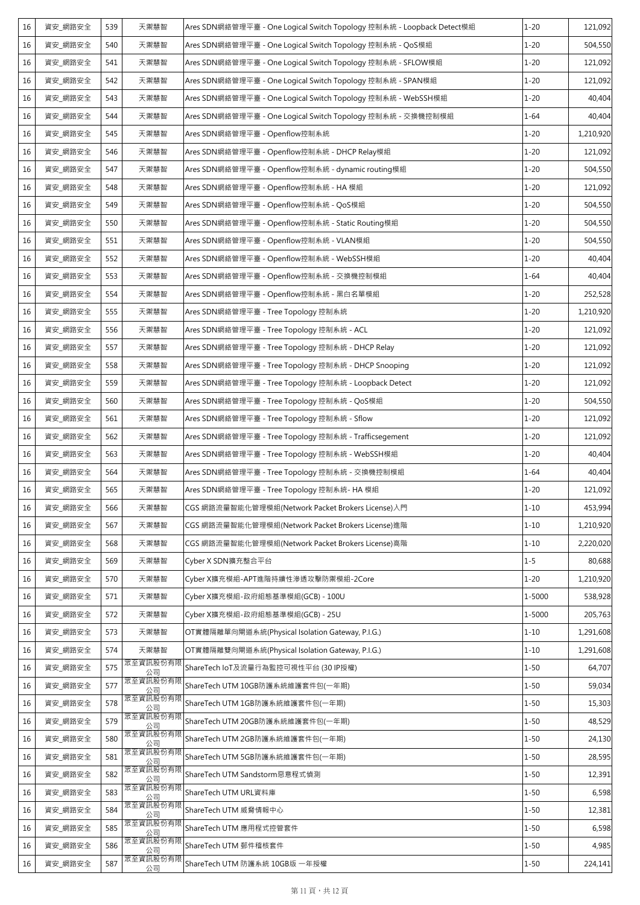| 16 | 資安_網路安全 | 539 | 天禦慧智           | Ares SDN網絡管理平臺 - One Logical Switch Topology 控制系統 - Loopback Detect模組 | $1 - 20$ | 121,092   |
|----|---------|-----|----------------|-----------------------------------------------------------------------|----------|-----------|
| 16 | 資安_網路安全 | 540 | 天禦慧智           | Ares SDN網絡管理平臺 - One Logical Switch Topology 控制系統 - QoS模組             | $1 - 20$ | 504,550   |
| 16 | 資安_網路安全 | 541 | 天禦慧智           | Ares SDN網絡管理平臺 - One Logical Switch Topology 控制系統 - SFLOW模組           | $1 - 20$ | 121,092   |
| 16 | 資安_網路安全 | 542 | 天禦慧智           | Ares SDN網絡管理平臺 - One Logical Switch Topology 控制系統 - SPAN模組            | $1 - 20$ | 121,092   |
| 16 | 資安_網路安全 | 543 | 天禦慧智           | Ares SDN網絡管理平臺 - One Logical Switch Topology 控制系統 - WebSSH模組          | $1 - 20$ | 40,404    |
| 16 | 資安_網路安全 | 544 | 天禦慧智           | Ares SDN網絡管理平臺 - One Logical Switch Topology 控制系統 - 交換機控制模組           | $1 - 64$ | 40,404    |
| 16 | 資安_網路安全 | 545 | 天禦慧智           | Ares SDN網絡管理平臺 - Openflow控制系統                                         | $1 - 20$ | 1,210,920 |
| 16 | 資安 網路安全 | 546 | 天禦慧智           | Ares SDN網絡管理平臺 - Openflow控制系統 - DHCP Relay模組                          | $1 - 20$ | 121,092   |
| 16 | 資安_網路安全 | 547 | 天禦慧智           | Ares SDN網絡管理平臺 - Openflow控制系統 - dynamic routing模組                     | $1 - 20$ | 504,550   |
| 16 | 資安_網路安全 | 548 | 天禦慧智           | Ares SDN網絡管理平臺 - Openflow控制系統 - HA 模組                                 | $1 - 20$ | 121,092   |
| 16 | 資安_網路安全 | 549 | 天禦慧智           | Ares SDN網絡管理平臺 - Openflow控制系統 - QoS模組                                 | $1 - 20$ | 504,550   |
| 16 | 資安_網路安全 | 550 | 天禦慧智           | Ares SDN網絡管理平臺 - Openflow控制系統 - Static Routing模組                      | $1 - 20$ | 504,550   |
| 16 | 資安_網路安全 | 551 | 天禦慧智           | Ares SDN網絡管理平臺 - Openflow控制系統 - VLAN模組                                | $1 - 20$ | 504,550   |
| 16 | 資安_網路安全 | 552 | 天禦慧智           | Ares SDN網絡管理平臺 - Openflow控制系統 - WebSSH模組                              | $1 - 20$ | 40,404    |
| 16 | 資安_網路安全 | 553 | 天禦慧智           | Ares SDN網絡管理平臺 - Openflow控制系統 - 交換機控制模組                               | $1 - 64$ | 40,404    |
| 16 | 資安_網路安全 | 554 | 天禦慧智           | Ares SDN網絡管理平臺 - Openflow控制系統 - 黑白名單模組                                | $1 - 20$ | 252,528   |
| 16 | 資安_網路安全 | 555 | 天禦慧智           | Ares SDN網絡管理平臺 - Tree Topology 控制系統                                   | $1 - 20$ | 1,210,920 |
| 16 | 資安_網路安全 | 556 | 天禦慧智           | Ares SDN網絡管理平臺 - Tree Topology 控制系統 - ACL                             | $1 - 20$ | 121,092   |
| 16 | 資安_網路安全 | 557 | 天禦慧智           | Ares SDN網絡管理平臺 - Tree Topology 控制系統 - DHCP Relay                      | $1 - 20$ | 121,092   |
| 16 | 資安_網路安全 | 558 | 天禦慧智           | Ares SDN網絡管理平臺 - Tree Topology 控制系統 - DHCP Snooping                   | $1 - 20$ | 121,092   |
| 16 | 資安_網路安全 | 559 | 天禦慧智           | Ares SDN網絡管理平臺 - Tree Topology 控制系統 - Loopback Detect                 | $1 - 20$ | 121,092   |
| 16 | 資安_網路安全 | 560 | 天禦慧智           | Ares SDN網絡管理平臺 - Tree Topology 控制系統 - QoS模組                           | $1 - 20$ | 504,550   |
| 16 | 資安_網路安全 | 561 | 天禦慧智           | Ares SDN網絡管理平臺 - Tree Topology 控制系統 - Sflow                           | $1 - 20$ | 121,092   |
| 16 | 資安_網路安全 | 562 | 天禦慧智           | Ares SDN網絡管理平臺 - Tree Topology 控制系統 - Trafficsegement                 | $1 - 20$ | 121,092   |
| 16 | 資安_網路安全 | 563 | 天禦慧智           | Ares SDN網絡管理平臺 - Tree Topology 控制系統 - WebSSH模組                        | $1 - 20$ | 40,404    |
| 16 | 資安_網路安全 | 564 | 天禦慧智           | Ares SDN網絡管理平臺 - Tree Topology 控制系統 - 交換機控制模組                         | $1 - 64$ | 40,404    |
| 16 | 資安_網路安全 | 565 | 天禦慧智           | Ares SDN網絡管理平臺 - Tree Topology 控制系統- HA 模組                            | $1 - 20$ | 121,092   |
| 16 | 資安_網路安全 | 566 | 天禦慧智           | CGS 網路流量智能化管理模組(Network Packet Brokers License)入門                     | $1 - 10$ | 453,994   |
| 16 | 資安_網路安全 | 567 | 天禦慧智           | CGS 網路流量智能化管理模組(Network Packet Brokers License)進階                     | $1 - 10$ | 1,210,920 |
| 16 | 資安_網路安全 | 568 | 天禦慧智           | CGS 網路流量智能化管理模組(Network Packet Brokers License)高階                     | $1 - 10$ | 2,220,020 |
| 16 | 資安 網路安全 | 569 | 天禦慧智           | Cyber X SDN擴充整合平台                                                     | $1 - 5$  | 80,688    |
| 16 | 資安_網路安全 | 570 | 天禦慧智           | Cyber X擴充模組-APT進階持續性滲透攻擊防禦模組-2Core                                    | $1 - 20$ | 1,210,920 |
| 16 | 資安_網路安全 | 571 | 天禦慧智           | Cyber X擴充模組-政府組態基準模組(GCB) - 100U                                      | 1-5000   | 538,928   |
| 16 | 資安_網路安全 | 572 | 天禦慧智           | Cyber X擴充模組-政府組態基準模組(GCB) - 25U                                       | 1-5000   | 205,763   |
| 16 | 資安_網路安全 | 573 | 天禦慧智           | OT實體隔離單向閘道系統(Physical Isolation Gateway, P.I.G.)                      | $1 - 10$ | 1,291,608 |
| 16 | 資安_網路安全 | 574 | 天禦慧智           | OT實體隔離雙向閘道系統(Physical Isolation Gateway, P.I.G.)                      | $1 - 10$ | 1,291,608 |
| 16 | 資安 網路安全 | 575 | 眾至資訊股份有限<br>公司 | ShareTech IoT及流量行為監控可視性平台 (30 IP授權)                                   | $1 - 50$ | 64,707    |
| 16 | 資安_網路安全 | 577 | 眾至資訊股份有限<br>公司 | ShareTech UTM 10GB防護系統維護套件包(一年期)                                      | $1 - 50$ | 59,034    |
| 16 | 資安_網路安全 | 578 | 眾至資訊股份有限<br>公司 | ShareTech UTM 1GB防護系統維護套件包(一年期)                                       | $1 - 50$ | 15,303    |
| 16 | 資安_網路安全 | 579 | 眾至資訊股份有限<br>公司 | ShareTech UTM 20GB防護系統維護套件包(一年期)                                      | $1 - 50$ | 48,529    |
| 16 | 資安_網路安全 | 580 | 眾至資訊股份有限<br>公司 | ShareTech UTM 2GB防護系統維護套件包(一年期)                                       | $1 - 50$ | 24,130    |
| 16 | 資安_網路安全 | 581 | 眾至資訊股份有限<br>公司 | ShareTech UTM 5GB防護系統維護套件包(一年期)                                       | $1 - 50$ | 28,595    |
| 16 | 資安_網路安全 | 582 | 眾至資訊股份有限<br>公司 | ShareTech UTM Sandstorm惡意程式偵測                                         | $1 - 50$ | 12,391    |
| 16 | 資安_網路安全 | 583 | 眾至資訊股份有限<br>公司 | ShareTech UTM URL資料庫                                                  | $1 - 50$ | 6,598     |
| 16 | 資安 網路安全 | 584 | 眾至資訊股份有限<br>公司 | ShareTech UTM 威脅情報中心                                                  | $1 - 50$ | 12,381    |
| 16 | 資安_網路安全 | 585 | 眾至資訊股份有附<br>公司 | ShareTech UTM 應用程式控管套件                                                | $1 - 50$ | 6,598     |
| 16 | 資安_網路安全 | 586 | 眾至資訊股份有限<br>公司 | ShareTech UTM 郵件稽核套件                                                  | $1 - 50$ | 4,985     |
| 16 | 資安_網路安全 | 587 | 眾至資訊股份有限<br>公司 | ShareTech UTM 防護系統 10GB版 一年授權                                         | $1 - 50$ | 224,141   |